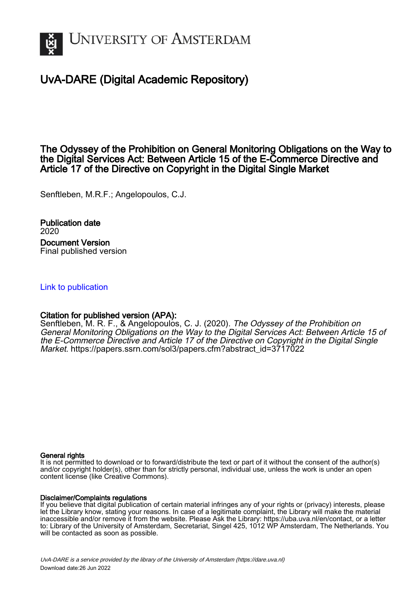

# UvA-DARE (Digital Academic Repository)

The Odyssey of the Prohibition on General Monitoring Obligations on the Way to the Digital Services Act: Between Article 15 of the E-Commerce Directive and Article 17 of the Directive on Copyright in the Digital Single Market

Senftleben, M.R.F.; Angelopoulos, C.J.

Publication date 2020 Document Version Final published version

## [Link to publication](https://dare.uva.nl/personal/pure/en/publications/the-odyssey-of-the-prohibition-on-general-monitoring-obligations-on-the-way-to-the-digital-services-act-between-article-15-of-the-ecommerce-directive-and-article-17-of-the-directive-on-copyright-in-the-digital-single-market(43bc52e3-273a-47e1-bcc3-184515f98b12).html)

## Citation for published version (APA):

Senftleben, M. R. F., & Angelopoulos, C. J. (2020). The Odyssey of the Prohibition on General Monitoring Obligations on the Way to the Digital Services Act: Between Article 15 of the E-Commerce Directive and Article 17 of the Directive on Copyright in the Digital Single Market. [https://papers.ssrn.com/sol3/papers.cfm?abstract\\_id=3717022](https://papers.ssrn.com/sol3/papers.cfm?abstract_id=3717022)

#### General rights

It is not permitted to download or to forward/distribute the text or part of it without the consent of the author(s) and/or copyright holder(s), other than for strictly personal, individual use, unless the work is under an open content license (like Creative Commons).

#### Disclaimer/Complaints regulations

If you believe that digital publication of certain material infringes any of your rights or (privacy) interests, please let the Library know, stating your reasons. In case of a legitimate complaint, the Library will make the material inaccessible and/or remove it from the website. Please Ask the Library: https://uba.uva.nl/en/contact, or a letter to: Library of the University of Amsterdam, Secretariat, Singel 425, 1012 WP Amsterdam, The Netherlands. You will be contacted as soon as possible.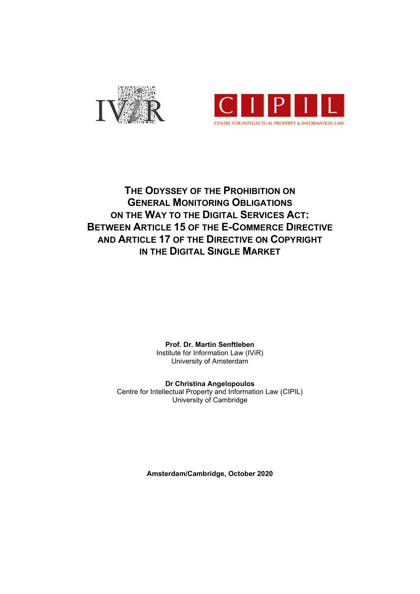



# THE ODYSSEY OF THE PROHIBITION ON GENERAL MONITORING OBLIGATIONS ON THE WAY TO THE DIGITAL SERVICES ACT: BETWEEN ARTICLE 15 OF THE E-COMMERCE DIRECTIVE AND ARTICLE 17 OF THE DIRECTIVE ON COPYRIGHT IN THE DIGITAL SINGLE MARKET

Prof. Dr. Martin Senftleben Institute for Information Law (IViR) University of Amsterdam

Dr Christina Angelopoulos Centre for Intellectual Property and Information Law (CIPIL) University of Cambridge

Amsterdam/Cambridge, October 2020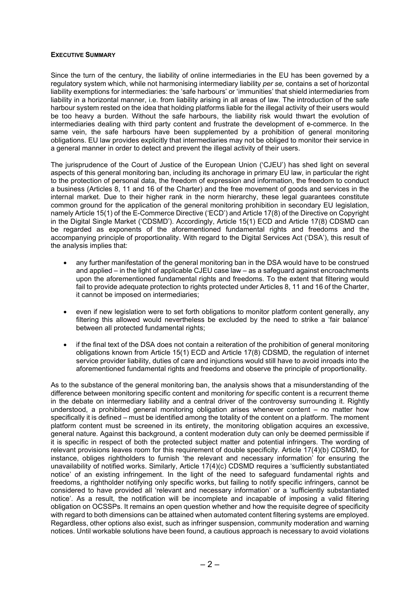## EXECUTIVE SUMMARY

Since the turn of the century, the liability of online intermediaries in the EU has been governed by a regulatory system which, while not harmonising intermediary liability per se, contains a set of horizontal liability exemptions for intermediaries: the 'safe harbours' or 'immunities' that shield intermediaries from liability in a horizontal manner, i.e. from liability arising in all areas of law. The introduction of the safe harbour system rested on the idea that holding platforms liable for the illegal activity of their users would be too heavy a burden. Without the safe harbours, the liability risk would thwart the evolution of intermediaries dealing with third party content and frustrate the development of e-commerce. In the same vein, the safe harbours have been supplemented by a prohibition of general monitoring obligations. EU law provides explicitly that intermediaries may not be obliged to monitor their service in a general manner in order to detect and prevent the illegal activity of their users.

The jurisprudence of the Court of Justice of the European Union ('CJEU') has shed light on several aspects of this general monitoring ban, including its anchorage in primary EU law, in particular the right to the protection of personal data, the freedom of expression and information, the freedom to conduct a business (Articles 8, 11 and 16 of the Charter) and the free movement of goods and services in the internal market. Due to their higher rank in the norm hierarchy, these legal guarantees constitute common ground for the application of the general monitoring prohibition in secondary EU legislation, namely Article 15(1) of the E-Commerce Directive ('ECD') and Article 17(8) of the Directive on Copyright in the Digital Single Market ('CDSMD'). Accordingly, Article 15(1) ECD and Article 17(8) CDSMD can be regarded as exponents of the aforementioned fundamental rights and freedoms and the accompanying principle of proportionality. With regard to the Digital Services Act ('DSA'), this result of the analysis implies that:

- any further manifestation of the general monitoring ban in the DSA would have to be construed and applied – in the light of applicable CJEU case law – as a safeguard against encroachments upon the aforementioned fundamental rights and freedoms. To the extent that filtering would fail to provide adequate protection to rights protected under Articles 8, 11 and 16 of the Charter, it cannot be imposed on intermediaries;
- even if new legislation were to set forth obligations to monitor platform content generally, any filtering this allowed would nevertheless be excluded by the need to strike a 'fair balance' between all protected fundamental rights;
- if the final text of the DSA does not contain a reiteration of the prohibition of general monitoring obligations known from Article 15(1) ECD and Article 17(8) CDSMD, the regulation of internet service provider liability, duties of care and injunctions would still have to avoid inroads into the aforementioned fundamental rights and freedoms and observe the principle of proportionality.

As to the substance of the general monitoring ban, the analysis shows that a misunderstanding of the difference between monitoring specific content and monitoring for specific content is a recurrent theme in the debate on intermediary liability and a central driver of the controversy surrounding it. Rightly understood, a prohibited general monitoring obligation arises whenever content – no matter how specifically it is defined – must be identified among the totality of the content on a platform. The moment platform content must be screened in its entirety, the monitoring obligation acquires an excessive, general nature. Against this background, a content moderation duty can only be deemed permissible if it is specific in respect of both the protected subject matter and potential infringers. The wording of relevant provisions leaves room for this requirement of double specificity. Article 17(4)(b) CDSMD, for instance, obliges rightholders to furnish 'the relevant and necessary information' for ensuring the unavailability of notified works. Similarly, Article 17(4)(c) CDSMD requires a 'sufficiently substantiated notice' of an existing infringement. In the light of the need to safeguard fundamental rights and freedoms, a rightholder notifying only specific works, but failing to notify specific infringers, cannot be considered to have provided all 'relevant and necessary information' or a 'sufficiently substantiated notice'. As a result, the notification will be incomplete and incapable of imposing a valid filtering obligation on OCSSPs. It remains an open question whether and how the requisite degree of specificity with regard to both dimensions can be attained when automated content filtering systems are employed. Regardless, other options also exist, such as infringer suspension, community moderation and warning notices. Until workable solutions have been found, a cautious approach is necessary to avoid violations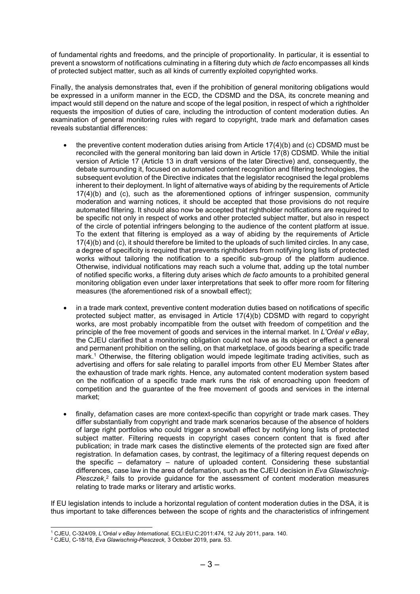of fundamental rights and freedoms, and the principle of proportionality. In particular, it is essential to prevent a snowstorm of notifications culminating in a filtering duty which de facto encompasses all kinds of protected subject matter, such as all kinds of currently exploited copyrighted works.

Finally, the analysis demonstrates that, even if the prohibition of general monitoring obligations would be expressed in a uniform manner in the ECD, the CDSMD and the DSA, its concrete meaning and impact would still depend on the nature and scope of the legal position, in respect of which a rightholder requests the imposition of duties of care, including the introduction of content moderation duties. An examination of general monitoring rules with regard to copyright, trade mark and defamation cases reveals substantial differences:

- the preventive content moderation duties arising from Article 17(4)(b) and (c) CDSMD must be reconciled with the general monitoring ban laid down in Article 17(8) CDSMD. While the initial version of Article 17 (Article 13 in draft versions of the later Directive) and, consequently, the debate surrounding it, focused on automated content recognition and filtering technologies, the subsequent evolution of the Directive indicates that the legislator recognised the legal problems inherent to their deployment. In light of alternative ways of abiding by the requirements of Article  $17(4)(b)$  and (c), such as the aforementioned options of infringer suspension, community moderation and warning notices, it should be accepted that those provisions do not require automated filtering. It should also now be accepted that rightholder notifications are required to be specific not only in respect of works and other protected subject matter, but also in respect of the circle of potential infringers belonging to the audience of the content platform at issue. To the extent that filtering is employed as a way of abiding by the requirements of Article 17(4)(b) and (c), it should therefore be limited to the uploads of such limited circles. In any case, a degree of specificity is required that prevents rightholders from notifying long lists of protected works without tailoring the notification to a specific sub-group of the platform audience. Otherwise, individual notifications may reach such a volume that, adding up the total number of notified specific works, a filtering duty arises which de facto amounts to a prohibited general monitoring obligation even under laxer interpretations that seek to offer more room for filtering measures (the aforementioned risk of a snowball effect);
- in a trade mark context, preventive content moderation duties based on notifications of specific protected subject matter, as envisaged in Article 17(4)(b) CDSMD with regard to copyright works, are most probably incompatible from the outset with freedom of competition and the principle of the free movement of goods and services in the internal market. In L'Oréal v eBay, the CJEU clarified that a monitoring obligation could not have as its object or effect a general and permanent prohibition on the selling, on that marketplace, of goods bearing a specific trade mark.<sup>1</sup> Otherwise, the filtering obligation would impede legitimate trading activities, such as advertising and offers for sale relating to parallel imports from other EU Member States after the exhaustion of trade mark rights. Hence, any automated content moderation system based on the notification of a specific trade mark runs the risk of encroaching upon freedom of competition and the guarantee of the free movement of goods and services in the internal market;
- finally, defamation cases are more context-specific than copyright or trade mark cases. They differ substantially from copyright and trade mark scenarios because of the absence of holders of large right portfolios who could trigger a snowball effect by notifying long lists of protected subject matter. Filtering requests in copyright cases concern content that is fixed after publication; in trade mark cases the distinctive elements of the protected sign are fixed after registration. In defamation cases, by contrast, the legitimacy of a filtering request depends on the specific – defamatory – nature of uploaded content. Considering these substantial differences, case law in the area of defamation, such as the CJEU decision in Eva Glawischnig-Piesczek, $2$  fails to provide guidance for the assessment of content moderation measures relating to trade marks or literary and artistic works.

If EU legislation intends to include a horizontal regulation of content moderation duties in the DSA, it is thus important to take differences between the scope of rights and the characteristics of infringement

<sup>1</sup> CJEU, C-324/09, L'Oréal v eBay International, ECLI:EU:C:2011:474, 12 July 2011, para. 140.

<sup>&</sup>lt;sup>2</sup> CJEU, C-18/18, Eva Glawischnig-Piesczeck, 3 October 2019, para. 53.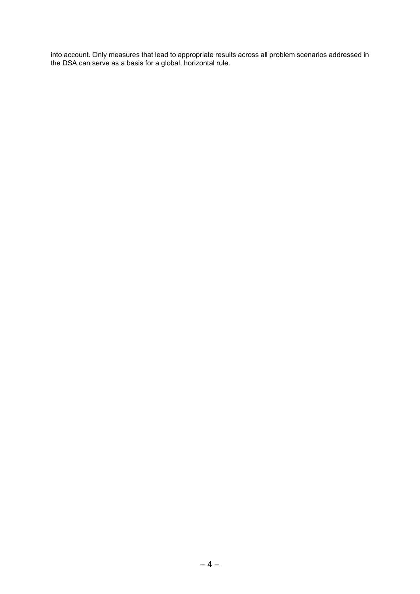into account. Only measures that lead to appropriate results across all problem scenarios addressed in the DSA can serve as a basis for a global, horizontal rule.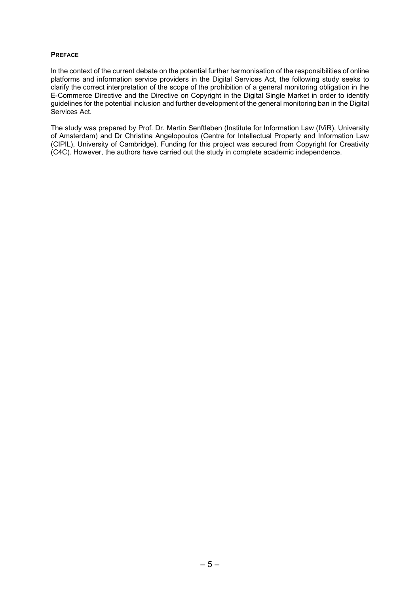## **PREFACE**

In the context of the current debate on the potential further harmonisation of the responsibilities of online platforms and information service providers in the Digital Services Act, the following study seeks to clarify the correct interpretation of the scope of the prohibition of a general monitoring obligation in the E-Commerce Directive and the Directive on Copyright in the Digital Single Market in order to identify guidelines for the potential inclusion and further development of the general monitoring ban in the Digital Services Act.

The study was prepared by Prof. Dr. Martin Senftleben (Institute for Information Law (IViR), University of Amsterdam) and Dr Christina Angelopoulos (Centre for Intellectual Property and Information Law (CIPIL), University of Cambridge). Funding for this project was secured from Copyright for Creativity (C4C). However, the authors have carried out the study in complete academic independence.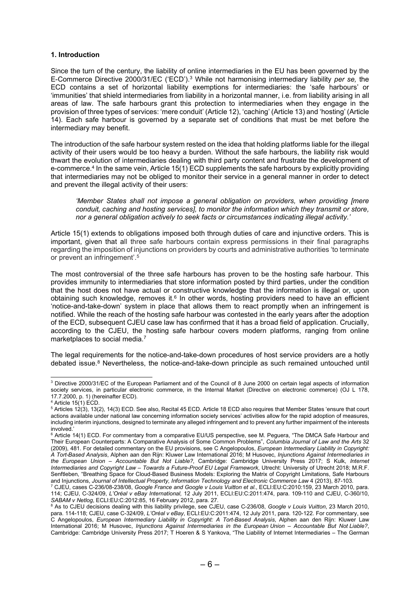## 1. Introduction

Since the turn of the century, the liability of online intermediaries in the EU has been governed by the E-Commerce Directive 2000/31/EC ('ECD').<sup>3</sup> While not harmonising intermediary liability per se, the ECD contains a set of horizontal liability exemptions for intermediaries: the 'safe harbours' or 'immunities' that shield intermediaries from liability in a horizontal manner, i.e. from liability arising in all areas of law. The safe harbours grant this protection to intermediaries when they engage in the provision of three types of services: 'mere conduit' (Article 12), 'caching' (Article 13) and 'hosting' (Article 14). Each safe harbour is governed by a separate set of conditions that must be met before the intermediary may benefit.

The introduction of the safe harbour system rested on the idea that holding platforms liable for the illegal activity of their users would be too heavy a burden. Without the safe harbours, the liability risk would thwart the evolution of intermediaries dealing with third party content and frustrate the development of e-commerce.<sup>4</sup> In the same vein, Article 15(1) ECD supplements the safe harbours by explicitly providing that intermediaries may not be obliged to monitor their service in a general manner in order to detect and prevent the illegal activity of their users:

'Member States shall not impose a general obligation on providers, when providing [mere conduit, caching and hosting services], to monitor the information which they transmit or store, nor a general obligation actively to seek facts or circumstances indicating illegal activity.'

Article 15(1) extends to obligations imposed both through duties of care and injunctive orders. This is important, given that all three safe harbours contain express permissions in their final paragraphs regarding the imposition of injunctions on providers by courts and administrative authorities 'to terminate or prevent an infringement'.<sup>5</sup>

The most controversial of the three safe harbours has proven to be the hosting safe harbour. This provides immunity to intermediaries that store information posted by third parties, under the condition that the host does not have actual or constructive knowledge that the information is illegal or, upon obtaining such knowledge, removes it. $6$  In other words, hosting providers need to have an efficient 'notice-and-take-down' system in place that allows them to react promptly when an infringement is notified. While the reach of the hosting safe harbour was contested in the early years after the adoption of the ECD, subsequent CJEU case law has confirmed that it has a broad field of application. Crucially, according to the CJEU, the hosting safe harbour covers modern platforms, ranging from online marketplaces to social media.<sup>7</sup>

The legal requirements for the notice-and-take-down procedures of host service providers are a hotly debated issue.<sup>8</sup> Nevertheless, the notice-and-take-down principle as such remained untouched until

<sup>&</sup>lt;sup>3</sup> Directive 2000/31/EC of the European Parliament and of the Council of 8 June 2000 on certain legal aspects of information society services, in particular electronic commerce, in the Internal Market (Directive on electronic commerce) (OJ L 178, 17.7.2000, p. 1) (hereinafter ECD).

<sup>4</sup> Article 15(1) ECD.

<sup>5</sup> Articles 12(3), 13(2), 14(3) ECD. See also, Recital 45 ECD. Article 18 ECD also requires that Member States 'ensure that court actions available under national law concerning information society services' activities allow for the rapid adoption of measures, including interim injunctions, designed to terminate any alleged infringement and to prevent any further impairment of the interests involved.'

<sup>&</sup>lt;sup>6</sup> Article 14(1) ECD. For commentary from a comparative EU/US perspective, see M. Peguera, "The DMCA Safe Harbour and Their European Counterparts: A Comparative Analysis of Some Common Problems", Columbia Journal of Law and the Arts 32 (2009), 481. For detailed commentary on the EU provisions, see C Angelopoulos, European Intermediary Liability in Copyright: A Tort-Based Analysis, Alphen aan den Rijn: Kluwer Law International 2016; M Husovec, Injunctions Against Intermediaries in the European Union – Accountable But Not Liable?, Cambridge: Cambridge University Press 2017; S Kulk, Internet Intermediaries and Copyright Law – Towards a Future-Proof EU Legal Framework, Utrecht: University of Utrecht 2018; M.R.F. Senftleben, "Breathing Space for Cloud-Based Business Models: Exploring the Matrix of Copyright Limitations, Safe Harbours and Injunctions, Journal of Intellectual Property, Information Technology and Electronic Commerce Law 4 (2013), 87-103.<br><sup>7</sup> CJEU, cases C-236/08-238/08, Google France and Google v Louis Vuitton et al., ECLI:EU:C:2010:159,

<sup>114;</sup> CJEU, C-324/09, L'Oréal v eBay International, 12 July 2011, ECLI:EU:C:2011:474, para. 109-110 and CJEU, C-360/10, SABAM v Netlog, ECLI:EU:C:2012:85, 16 February 2012, para. 27.

<sup>&</sup>lt;sup>8</sup> As to CJEU decisions dealing with this liability privilege, see CJEU, case C-236/08, Google v Louis Vuitton, 23 March 2010, para. 114-118; CJEU, case C-324/09, L'Oréal v eBay, ECLI:EU:C:2011:474, 12 July 2011, para. 120-122. For commentary, see C Angelopoulos, European Intermediary Liability in Copyright: A Tort-Based Analysis, Alphen aan den Rijn: Kluwer Law International 2016; M Husovec, Injunctions Against Intermediaries in the European Union – Accountable But Not Liable?, Cambridge: Cambridge University Press 2017; T Hoeren & S Yankova, "The Liability of Internet Intermediaries – The German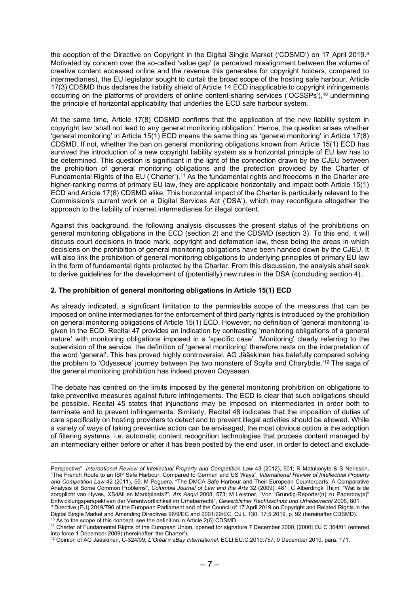the adoption of the Directive on Copyright in the Digital Single Market ('CDSMD') on 17 April 2019.<sup>9</sup> Motivated by concern over the so-called 'value gap' (a perceived misalignment between the volume of creative content accessed online and the revenue this generates for copyright holders, compared to intermediaries), the EU legislator sought to curtail the broad scope of the hosting safe harbour. Article 17(3) CDSMD thus declares the liability shield of Article 14 ECD inapplicable to copyright infringements occurring on the platforms of providers of online content-sharing services ('OCSSPs'),<sup>10</sup> undermining the principle of horizontal applicability that underlies the ECD safe harbour system.

At the same time, Article 17(8) CDSMD confirms that the application of the new liability system in copyright law 'shall not lead to any general monitoring obligation.' Hence, the question arises whether 'general monitoring' in Article 15(1) ECD means the same thing as 'general monitoring' in Article 17(8) CDSMD. If not, whether the ban on general monitoring obligations known from Article 15(1) ECD has survived the introduction of a new copyright liability system as a horizontal principle of EU law has to be determined. This question is significant in the light of the connection drawn by the CJEU between the prohibition of general monitoring obligations and the protection provided by the Charter of Fundamental Rights of the EU ('Charter').<sup>11</sup> As the fundamental rights and freedoms in the Charter are higher-ranking norms of primary EU law, they are applicable horizontally and impact both Article 15(1) ECD and Article 17(8) CDSMD alike. This horizontal impact of the Charter is particularly relevant to the Commission's current work on a Digital Services Act ('DSA'), which may reconfigure altogether the approach to the liability of internet intermediaries for illegal content.

Against this background, the following analysis discusses the present status of the prohibitions on general monitoring obligations in the ECD (section 2) and the CDSMD (section 3). To this end, it will discuss court decisions in trade mark, copyright and defamation law, these being the areas in which decisions on the prohibition of general monitoring obligations have been handed down by the CJEU. It will also link the prohibition of general monitoring obligations to underlying principles of primary EU law in the form of fundamental rights protected by the Charter. From this discussion, the analysis shall seek to derive guidelines for the development of (potentially) new rules in the DSA (concluding section 4).

## 2. The prohibition of general monitoring obligations in Article 15(1) ECD

As already indicated, a significant limitation to the permissible scope of the measures that can be imposed on online intermediaries for the enforcement of third party rights is introduced by the prohibition on general monitoring obligations of Article 15(1) ECD. However, no definition of 'general monitoring' is given in the ECD. Recital 47 provides an indication by contrasting 'monitoring obligations of a general nature' with monitoring obligations imposed in a 'specific case'. 'Monitoring' clearly referring to the supervision of the service, the definition of 'general monitoring' therefore rests on the interpretation of the word 'general'. This has proved highly controversial. AG Jääskinen has balefully compared solving the problem to 'Odysseus' journey between the two monsters of Scylla and Charybdis.'<sup>12</sup> The saga of the general monitoring prohibition has indeed proven Odyssean.

The debate has centred on the limits imposed by the general monitoring prohibition on obligations to take preventive measures against future infringements. The ECD is clear that such obligations should be possible. Recital 45 states that injunctions may be imposed on intermediaries in order both to terminate and to prevent infringements. Similarly, Recital 48 indicates that the imposition of duties of care specifically on hosting providers to detect and to prevent illegal activities should be allowed. While a variety of ways of taking preventive action can be envisaged, the most obvious option is the adoption of filtering systems, i.e. automatic content recognition technologies that process content managed by an intermediary either before or after it has been posted by the end user, in order to detect and exclude

<sup>10</sup> As to the scope of this concept, see the definition in Article 2(6) CDSMD. <sup>11</sup> Charter of Fundamental Rights of the European Union, opened for signature 7 December 2000, [2000] OJ C 364/01 (entered into force 1 December 2009) (hereinafter 'the Charter').

Perspective", International Review of Intellectual Property and Competition Law 43 (2012), 501; R Matulionyte & S Nerisson, "The French Route to an ISP Safe Harbour, Compared to German and US Ways", International Review of Intellectual Property and Competition Law 42 (2011), 55; M Peguera, "The DMCA Safe Harbour and Their European Counterparts: A Comparative Analysis of Some Common Problems", Columbia Journal of Law and the Arts 32 (2009), 481; C Alberdingk Thijm, "Wat is de zorgplicht van Hyves, XS4All en Marktplaats?", Ars Aequi 2008, 573; M Leistner, "Von "Grundig-Reporter(n) zu Paperboy(s)" Entwicklungsperspektiven der Verantwortlichkeit im Urheberrecht", Gewerblicher Rechtsschutz und Urheberrecht 2006, 801. <sup>9</sup> Directive (EU) 2019/790 of the European Parliament and of the Council of 17 April 2019 on Copyright and Related Rights in the Digital Single Market and Amending Directives 96/9/EC and 2001/29/EC, OJ L 130, 17.5.2019, p. 92 (hereinafter CDSMD).

<sup>12</sup> Opinion of AG Jääskinen, C-324/09, L'Oréal v eBay International, ECLI:EU:C:2010:757, 9 December 2010, para. 171.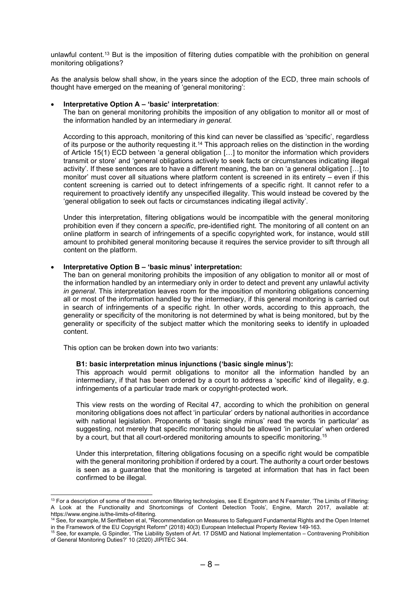unlawful content.<sup>13</sup> But is the imposition of filtering duties compatible with the prohibition on general monitoring obligations?

As the analysis below shall show, in the years since the adoption of the ECD, three main schools of thought have emerged on the meaning of 'general monitoring':

## Interpretative Option A – 'basic' interpretation:

The ban on general monitoring prohibits the imposition of any obligation to monitor all or most of the information handled by an intermediary in general.

According to this approach, monitoring of this kind can never be classified as 'specific', regardless of its purpose or the authority requesting it.<sup>14</sup> This approach relies on the distinction in the wording of Article 15(1) ECD between 'a general obligation […] to monitor the information which providers transmit or store' and 'general obligations actively to seek facts or circumstances indicating illegal activity'. If these sentences are to have a different meaning, the ban on 'a general obligation […] to monitor' must cover all situations where platform content is screened in its entirety – even if this content screening is carried out to detect infringements of a specific right. It cannot refer to a requirement to proactively identify any unspecified illegality. This would instead be covered by the 'general obligation to seek out facts or circumstances indicating illegal activity'.

Under this interpretation, filtering obligations would be incompatible with the general monitoring prohibition even if they concern a specific, pre-identified right. The monitoring of all content on an online platform in search of infringements of a specific copyrighted work, for instance, would still amount to prohibited general monitoring because it requires the service provider to sift through all content on the platform.

#### Interpretative Option B – 'basic minus' interpretation:

The ban on general monitoring prohibits the imposition of any obligation to monitor all or most of the information handled by an intermediary only in order to detect and prevent any unlawful activity in general. This interpretation leaves room for the imposition of monitoring obligations concerning all or most of the information handled by the intermediary, if this general monitoring is carried out in search of infringements of a specific right. In other words, according to this approach, the generality or specificity of the monitoring is not determined by what is being monitored, but by the generality or specificity of the subject matter which the monitoring seeks to identify in uploaded content.

This option can be broken down into two variants:

#### B1: basic interpretation minus injunctions ('basic single minus'):

This approach would permit obligations to monitor all the information handled by an intermediary, if that has been ordered by a court to address a 'specific' kind of illegality, e.g. infringements of a particular trade mark or copyright-protected work.

This view rests on the wording of Recital 47, according to which the prohibition on general monitoring obligations does not affect 'in particular' orders by national authorities in accordance with national legislation. Proponents of 'basic single minus' read the words 'in particular' as suggesting, not merely that specific monitoring should be allowed 'in particular' when ordered by a court, but that all court-ordered monitoring amounts to specific monitoring.<sup>15</sup>

Under this interpretation, filtering obligations focusing on a specific right would be compatible with the general monitoring prohibition if ordered by a court. The authority a court order bestows is seen as a guarantee that the monitoring is targeted at information that has in fact been confirmed to be illegal.

<sup>&</sup>lt;sup>13</sup> For a description of some of the most common filtering technologies, see E Engstrom and N Feamster, 'The Limits of Filtering: A Look at the Functionality and Shortcomings of Content Detection Tools', Engine, March 2017, available at: https://www.engine.is/the-limits-of-filtering.

<sup>&</sup>lt;sup>14</sup> See, for example, M Senftleben et al, "Recommendation on Measures to Safeguard Fundamental Rights and the Open Internet in the Framework of the EU Copyright Reform" (2018) 40(3) European Intellectual Property Review 149-163.

<sup>&</sup>lt;sup>15</sup> See, for example, G Spindler, 'The Liability System of Art. 17 DSMD and National Implementation – Contravening Prohibition of General Monitoring Duties?' 10 (2020) JIPITEC 344.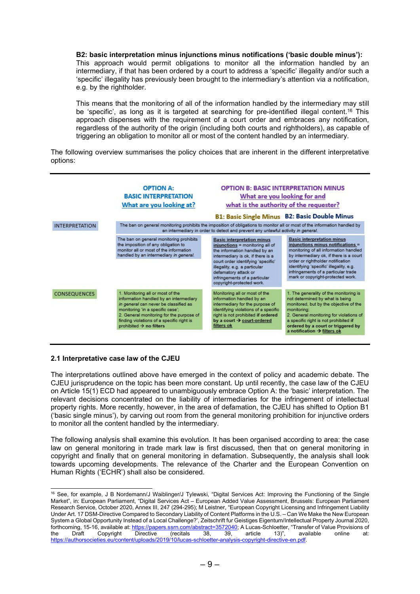B2: basic interpretation minus injunctions minus notifications ('basic double minus'): This approach would permit obligations to monitor all the information handled by an intermediary, if that has been ordered by a court to address a 'specific' illegality and/or such a 'specific' illegality has previously been brought to the intermediary's attention via a notification, e.g. by the rightholder.

This means that the monitoring of all of the information handled by the intermediary may still be 'specific', as long as it is targeted at searching for pre-identified illegal content.<sup>16</sup> This approach dispenses with the requirement of a court order and embraces any notification, regardless of the authority of the origin (including both courts and rightholders), as capable of triggering an obligation to monitor all or most of the content handled by an intermediary.

The following overview summarises the policy choices that are inherent in the different interpretative options:



## 2.1 Interpretative case law of the CJEU

The interpretations outlined above have emerged in the context of policy and academic debate. The CJEU jurisprudence on the topic has been more constant. Up until recently, the case law of the CJEU on Article 15(1) ECD had appeared to unambiguously embrace Option A: the 'basic' interpretation. The relevant decisions concentrated on the liability of intermediaries for the infringement of intellectual property rights. More recently, however, in the area of defamation, the CJEU has shifted to Option B1 ('basic single minus'), by carving out room from the general monitoring prohibition for injunctive orders to monitor all the content handled by the intermediary.

The following analysis shall examine this evolution. It has been organised according to area: the case law on general monitoring in trade mark law is first discussed, then that on general monitoring in copyright and finally that on general monitoring in defamation. Subsequently, the analysis shall look towards upcoming developments. The relevance of the Charter and the European Convention on Human Rights ('ECHR') shall also be considered.

<sup>16</sup> See, for example, J B Nordemann/J Waiblinger/J Tylewski, "Digital Services Act: Improving the Functioning of the Single Market", in: European Parliament, "Digital Services Act – European Added Value Assessment, Brussels: European Parliament Research Service, October 2020, Annex III, 247 (294-295); M Leistner, "European Copyright Licensing and Infringement Liability Under Art. 17 DSM-Directive Compared to Secondary Liability of Content Platforms in the U.S. – Can We Make the New European System a Global Opportunity Instead of a Local Challenge?', Zeitschrift fur Geistiges Eigentum/Intellectual Property Journal 2020, forthcoming, 15-16, available at: https://papers.ssrn.com/abstract=3572040; A Lucas-Schloetter, "Transfer of Value Provisions of the Draft Copyright Directive (recitals 38. 39. article 13)". available online at: the Draft Copyright Directive (recitals 38, 39, article 13)", available online at: https://authorsocieties.eu/content/uploads/2019/10/lucas-schloetter-analysis-copyright-directive-en.pdf.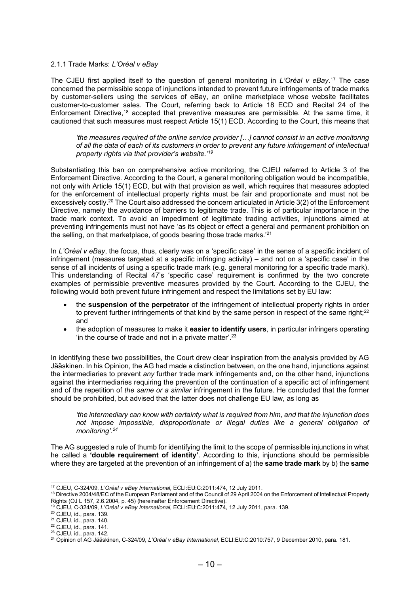## 2.1.1 Trade Marks: L'Oréal v eBay

The CJEU first applied itself to the question of general monitoring in L'Oréal v eBay.<sup>17</sup> The case concerned the permissible scope of injunctions intended to prevent future infringements of trade marks by customer-sellers using the services of eBay, an online marketplace whose website facilitates customer-to-customer sales. The Court, referring back to Article 18 ECD and Recital 24 of the Enforcement Directive,<sup>18</sup> accepted that preventive measures are permissible. At the same time, it cautioned that such measures must respect Article 15(1) ECD. According to the Court, this means that

'the measures required of the online service provider […] cannot consist in an active monitoring of all the data of each of its customers in order to prevent any future infringement of intellectual property rights via that provider's website.'<sup>19</sup>

Substantiating this ban on comprehensive active monitoring, the CJEU referred to Article 3 of the Enforcement Directive. According to the Court, a general monitoring obligation would be incompatible, not only with Article 15(1) ECD, but with that provision as well, which requires that measures adopted for the enforcement of intellectual property rights must be fair and proportionate and must not be excessively costly.<sup>20</sup> The Court also addressed the concern articulated in Article 3(2) of the Enforcement Directive, namely the avoidance of barriers to legitimate trade. This is of particular importance in the trade mark context. To avoid an impediment of legitimate trading activities, injunctions aimed at preventing infringements must not have 'as its object or effect a general and permanent prohibition on the selling, on that marketplace, of goods bearing those trade marks.'<sup>21</sup>

In L'Oréal v eBay, the focus, thus, clearly was on a 'specific case' in the sense of a specific incident of infringement (measures targeted at a specific infringing activity) – and not on a 'specific case' in the sense of all incidents of using a specific trade mark (e.g. general monitoring for a specific trade mark). This understanding of Recital 47's 'specific case' requirement is confirmed by the two concrete examples of permissible preventive measures provided by the Court. According to the CJEU, the following would both prevent future infringement and respect the limitations set by EU law:

- the suspension of the perpetrator of the infringement of intellectual property rights in order to prevent further infringements of that kind by the same person in respect of the same right; $2<sup>2</sup>$ and
- the adoption of measures to make it easier to identify users, in particular infringers operating 'in the course of trade and not in a private matter'.<sup>23</sup>

In identifying these two possibilities, the Court drew clear inspiration from the analysis provided by AG Jääskinen. In his Opinion, the AG had made a distinction between, on the one hand, injunctions against the intermediaries to prevent any further trade mark infringements and, on the other hand, injunctions against the intermediaries requiring the prevention of the continuation of a specific act of infringement and of the repetition of the same or a similar infringement in the future. He concluded that the former should be prohibited, but advised that the latter does not challenge EU law, as long as

'the intermediary can know with certainty what is required from him, and that the injunction does not impose impossible, disproportionate or illegal duties like a general obligation of monitoring'.<sup>24</sup>

The AG suggested a rule of thumb for identifying the limit to the scope of permissible injunctions in what he called a 'double requirement of identity'. According to this, injunctions should be permissible where they are targeted at the prevention of an infringement of a) the **same trade mark** by b) the **same** 

<sup>17</sup> CJEU, C-324/09, L'Oréal v eBay International, ECLI:EU:C:2011:474, 12 July 2011.

<sup>&</sup>lt;sup>18</sup> Directive 2004/48/EC of the European Parliament and of the Council of 29 April 2004 on the Enforcement of Intellectual Property Rights (OJ L 157, 2.6.2004, p. 45) (hereinafter Enforcement Directive).

 $19$  CJEU, C-324/09, L'Oréal v eBay International, ECLI:EU:C:2011:474, 12 July 2011, para. 139.

<sup>20</sup> CJEU, id., para. 139.

<sup>21</sup> CJEU, id., para. 140.

<sup>22</sup> CJEU, id., para. 141.

<sup>23</sup> CJEU, id., para. 142.

<sup>&</sup>lt;sup>24</sup> Opinion of AG Jääskinen, C-324/09, L'Oréal v eBay International, ECLI:EU:C:2010:757, 9 December 2010, para. 181.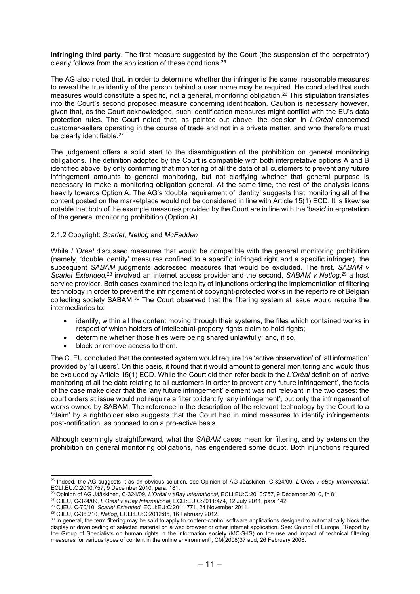infringing third party. The first measure suggested by the Court (the suspension of the perpetrator) clearly follows from the application of these conditions.<sup>25</sup>

The AG also noted that, in order to determine whether the infringer is the same, reasonable measures to reveal the true identity of the person behind a user name may be required. He concluded that such measures would constitute a specific, not a general, monitoring obligation.<sup>26</sup> This stipulation translates into the Court's second proposed measure concerning identification. Caution is necessary however, given that, as the Court acknowledged, such identification measures might conflict with the EU's data protection rules. The Court noted that, as pointed out above, the decision in L'Oréal concerned customer-sellers operating in the course of trade and not in a private matter, and who therefore must be clearly identifiable.<sup>27</sup>

The judgement offers a solid start to the disambiguation of the prohibition on general monitoring obligations. The definition adopted by the Court is compatible with both interpretative options A and B identified above, by only confirming that monitoring of all the data of all customers to prevent any future infringement amounts to general monitoring, but not clarifying whether that general purpose is necessary to make a monitoring obligation general. At the same time, the rest of the analysis leans heavily towards Option A. The AG's 'double requirement of identity' suggests that monitoring all of the content posted on the marketplace would not be considered in line with Article 15(1) ECD. It is likewise notable that both of the example measures provided by the Court are in line with the 'basic' interpretation of the general monitoring prohibition (Option A).

## 2.1.2 Copyright: Scarlet, Netlog and McFadden

While L'Oréal discussed measures that would be compatible with the general monitoring prohibition (namely, 'double identity' measures confined to a specific infringed right and a specific infringer), the subsequent SABAM judgments addressed measures that would be excluded. The first, SABAM v Scarlet Extended,<sup>28</sup> involved an internet access provider and the second, SABAM v Netlog,<sup>29</sup> a host service provider. Both cases examined the legality of injunctions ordering the implementation of filtering technology in order to prevent the infringement of copyright-protected works in the repertoire of Belgian collecting society SABAM.<sup>30</sup> The Court observed that the filtering system at issue would require the intermediaries to:

- identify, within all the content moving through their systems, the files which contained works in respect of which holders of intellectual-property rights claim to hold rights;
- determine whether those files were being shared unlawfully; and, if so,
- block or remove access to them.

The CJEU concluded that the contested system would require the 'active observation' of 'all information' provided by 'all users'. On this basis, it found that it would amount to general monitoring and would thus be excluded by Article 15(1) ECD. While the Court did then refer back to the L'Oréal definition of 'active monitoring of all the data relating to all customers in order to prevent any future infringement', the facts of the case make clear that the 'any future infringement' element was not relevant in the two cases: the court orders at issue would not require a filter to identify 'any infringement', but only the infringement of works owned by SABAM. The reference in the description of the relevant technology by the Court to a 'claim' by a rightholder also suggests that the Court had in mind measures to identify infringements post-notification, as opposed to on a pro-active basis.

Although seemingly straightforward, what the SABAM cases mean for filtering, and by extension the prohibition on general monitoring obligations, has engendered some doubt. Both injunctions required

<sup>26</sup> Opinion of AG Jääskinen, C-324/09, L'Oréal v eBay International, ECLI:EU:C:2010:757, 9 December 2010, fn 81.

<sup>&</sup>lt;sup>25</sup> Indeed, the AG suggests it as an obvious solution, see Opinion of AG Jääskinen, C-324/09, L'Oréal v eBay International, ECLI:EU:C:2010:757, 9 December 2010, para. 181.

<sup>27</sup> CJEU, C-324/09, L'Oréal v eBay International, ECLI:EU:C:2011:474, 12 July 2011, para 142.

<sup>28</sup> CJEU, C-70/10, Scarlet Extended, ECLI:EU:C:2011:771, 24 November 2011.

<sup>29</sup> CJEU, C-360/10, Netlog, ECLI:EU:C:2012:85, 16 February 2012.

<sup>&</sup>lt;sup>30</sup> In general, the term filtering may be said to apply to content-control software applications designed to automatically block the display or downloading of selected material on a web browser or other internet application. See: Council of Europe, "Report by the Group of Specialists on human rights in the information society (MC-S-IS) on the use and impact of technical filtering measures for various types of content in the online environment", CM(2008)37 add, 26 February 2008.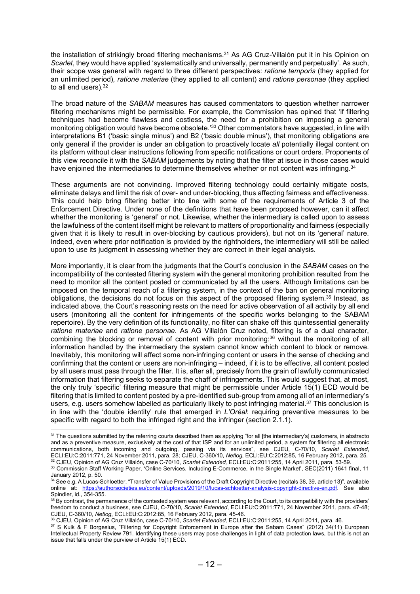the installation of strikingly broad filtering mechanisms.<sup>31</sup> As AG Cruz-Villalón put it in his Opinion on Scarlet, they would have applied 'systematically and universally, permanently and perpetually'. As such, their scope was general with regard to three different perspectives: ratione temporis (they applied for an unlimited period), ratione materiae (they applied to all content) and ratione personae (they applied to all end users).<sup>32</sup>

The broad nature of the SABAM measures has caused commentators to question whether narrower filtering mechanisms might be permissible. For example, the Commission has opined that 'if filtering techniques had become flawless and costless, the need for a prohibition on imposing a general monitoring obligation would have become obsolete.<sup>'33</sup> Other commentators have suggested, in line with interpretations B1 ('basic single minus') and B2 ('basic double minus'), that monitoring obligations are only general if the provider is under an obligation to proactively locate all potentially illegal content on its platform without clear instructions following from specific notifications or court orders. Proponents of this view reconcile it with the SABAM judgements by noting that the filter at issue in those cases would have enjoined the intermediaries to determine themselves whether or not content was infringing.<sup>34</sup>

These arguments are not convincing. Improved filtering technology could certainly mitigate costs, eliminate delays and limit the risk of over- and under-blocking, thus affecting fairness and effectiveness. This could help bring filtering better into line with some of the requirements of Article 3 of the Enforcement Directive. Under none of the definitions that have been proposed however, can it affect whether the monitoring is 'general' or not. Likewise, whether the intermediary is called upon to assess the lawfulness of the content itself might be relevant to matters of proportionality and fairness (especially given that it is likely to result in over-blocking by cautious providers), but not on its 'general' nature. Indeed, even where prior notification is provided by the rightholders, the intermediary will still be called upon to use its judgment in assessing whether they are correct in their legal analysis.

More importantly, it is clear from the judgments that the Court's conclusion in the SABAM cases on the incompatibility of the contested filtering system with the general monitoring prohibition resulted from the need to monitor all the content posted or communicated by all the users. Although limitations can be imposed on the temporal reach of a filtering system, in the context of the ban on general monitoring obligations, the decisions do not focus on this aspect of the proposed filtering system.<sup>35</sup> Instead, as indicated above, the Court's reasoning rests on the need for active observation of all activity by all end users (monitoring all the content for infringements of the specific works belonging to the SABAM repertoire). By the very definition of its functionality, no filter can shake off this quintessential generality ratione materiae and ratione personae. As AG Villalón Cruz noted, filtering is of a dual character, combining the blocking or removal of content with prior monitoring:<sup>36</sup> without the monitoring of all information handled by the intermediary the system cannot know which content to block or remove. Inevitably, this monitoring will affect some non-infringing content or users in the sense of checking and confirming that the content or users are non-infringing – indeed, if it is to be effective, all content posted by all users must pass through the filter. It is, after all, precisely from the grain of lawfully communicated information that filtering seeks to separate the chaff of infringements. This would suggest that, at most, the only truly 'specific' filtering measure that might be permissible under Article 15(1) ECD would be filtering that is limited to content posted by a pre-identified sub-group from among all of an intermediary's users, e.g. users somehow labelled as particularly likely to post infringing material.<sup>37</sup> This conclusion is in line with the 'double identity' rule that emerged in L'Oréal: requiring preventive measures to be specific with regard to both the infringed right and the infringer (section 2.1.1).

<sup>&</sup>lt;sup>31</sup> The questions submitted by the referring courts described them as applying "for all [the intermediary's] customers, in abstracto and as a preventive measure, exclusively at the cost of that ISP and for an unlimited period, a system for filtering all electronic communications, both incoming and outgoing, passing via its services", see CJEU, C-70/10, Scarlet Extended, ECLI:EU:C:2011:771, 24 November 2011, para. 28; CJEU, C-360/10, Netlog, ECLI:EU:C:2012:85, 16 February 2012, para. 25. <sup>32</sup> CJEU, Opinion of AG Cruz Villalón, case C-70/10, Scarlet Extended, ECLI:EU:C:2011:255, 14 April 2011, para. 53-59.

<sup>33</sup> Commission Staff Working Paper, 'Online Services, Including E-Commerce, in the Single Market', SEC(2011) 1641 final, 11 January 2012, p. 50.

<sup>34</sup> See e.g. A Lucas-Schloetter, "Transfer of Value Provisions of the Draft Copyright Directive (recitals 38, 39, article 13)", available online at: https://authorsocieties.eu/content/uploads/2019/10/lucas-schloetter-analysis-copyright-directive-en.pdf. See also Spindler, id., 354-355.

<sup>&</sup>lt;sup>35</sup> By contrast, the permanence of the contested system was relevant, according to the Court, to its compatibility with the providers' freedom to conduct a business, see CJEU, C-70/10, Scarlet Extended, ECLI:EU:C:2011:771, 24 November 2011, para. 47-48; CJEU, C-360/10, Netlog, ECLI:EU:C:2012:85, 16 February 2012, para. 45-46.

<sup>36</sup> CJEU, Opinion of AG Cruz Villalón, case C-70/10, Scarlet Extended, ECLI:EU:C:2011:255, 14 April 2011, para. 46.

<sup>37</sup> S Kulk & F Borgesius, "Filtering for Copyright Enforcement in Europe after the Sabam Cases" (2012) 34(11) European Intellectual Property Review 791. Identifying these users may pose challenges in light of data protection laws, but this is not an issue that falls under the purview of Article 15(1) ECD.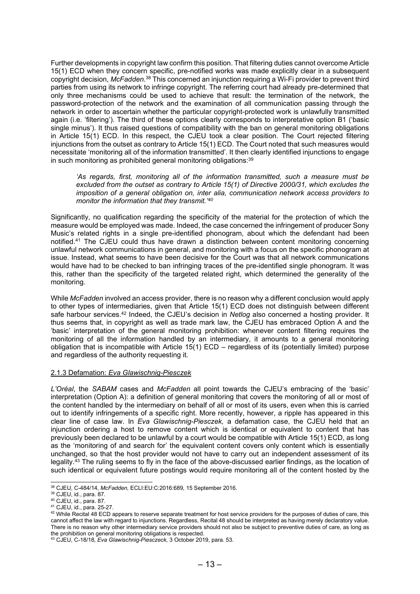Further developments in copyright law confirm this position. That filtering duties cannot overcome Article 15(1) ECD when they concern specific, pre-notified works was made explicitly clear in a subsequent copyright decision, McFadden.<sup>38</sup> This concerned an injunction requiring a Wi-Fi provider to prevent third parties from using its network to infringe copyright. The referring court had already pre-determined that only three mechanisms could be used to achieve that result: the termination of the network, the password-protection of the network and the examination of all communication passing through the network in order to ascertain whether the particular copyright-protected work is unlawfully transmitted again (i.e. 'filtering'). The third of these options clearly corresponds to interpretative option B1 ('basic single minus'). It thus raised questions of compatibility with the ban on general monitoring obligations in Article 15(1) ECD. In this respect, the CJEU took a clear position. The Court rejected filtering injunctions from the outset as contrary to Article 15(1) ECD. The Court noted that such measures would necessitate 'monitoring all of the information transmitted'. It then clearly identified injunctions to engage in such monitoring as prohibited general monitoring obligations:<sup>39</sup>

'As regards, first, monitoring all of the information transmitted, such a measure must be excluded from the outset as contrary to Article 15(1) of Directive 2000/31, which excludes the imposition of a general obligation on, inter alia, communication network access providers to monitor the information that they transmit.<sup>'40</sup>

Significantly, no qualification regarding the specificity of the material for the protection of which the measure would be employed was made. Indeed, the case concerned the infringement of producer Sony Music's related rights in a single pre-identified phonogram, about which the defendant had been notified.<sup>41</sup> The CJEU could thus have drawn a distinction between content monitoring concerning unlawful network communications in general, and monitoring with a focus on the specific phonogram at issue. Instead, what seems to have been decisive for the Court was that all network communications would have had to be checked to ban infringing traces of the pre-identified single phonogram. It was this, rather than the specificity of the targeted related right, which determined the generality of the monitoring.

While McFadden involved an access provider, there is no reason why a different conclusion would apply to other types of intermediaries, given that Article 15(1) ECD does not distinguish between different safe harbour services.<sup>42</sup> Indeed, the CJEU's decision in Netlog also concerned a hosting provider. It thus seems that, in copyright as well as trade mark law, the CJEU has embraced Option A and the 'basic' interpretation of the general monitoring prohibition: whenever content filtering requires the monitoring of all the information handled by an intermediary, it amounts to a general monitoring obligation that is incompatible with Article 15(1) ECD – regardless of its (potentially limited) purpose and regardless of the authority requesting it.

## 2.1.3 Defamation: Eva Glawischnig-Piesczek

L'Oréal, the SABAM cases and McFadden all point towards the CJEU's embracing of the 'basic' interpretation (Option A): a definition of general monitoring that covers the monitoring of all or most of the content handled by the intermediary on behalf of all or most of its users, even when this is carried out to identify infringements of a specific right. More recently, however, a ripple has appeared in this clear line of case law. In Eva Glawischnig-Piesczek, a defamation case, the CJEU held that an injunction ordering a host to remove content which is identical or equivalent to content that has previously been declared to be unlawful by a court would be compatible with Article 15(1) ECD, as long as the 'monitoring of and search for' the equivalent content covers only content which is essentially unchanged, so that the host provider would not have to carry out an independent assessment of its legality.<sup>43</sup> The ruling seems to fly in the face of the above-discussed earlier findings, as the location of such identical or equivalent future postings would require monitoring all of the content hosted by the

<sup>38</sup> CJEU, C-484/14, McFadden, ECLI:EU:C:2016:689, 15 September 2016.

<sup>39</sup> CJEU, id., para. 87.

<sup>40</sup> CJEU, id., para. 87.

<sup>41</sup> CJEU, id., para. 25-27.

<sup>&</sup>lt;sup>42</sup> While Recital 48 ECD appears to reserve separate treatment for host service providers for the purposes of duties of care, this cannot affect the law with regard to injunctions. Regardless, Recital 48 should be interpreted as having merely declaratory value. There is no reason why other intermediary service providers should not also be subject to preventive duties of care, as long as the prohibition on general monitoring obligations is respected.

<sup>43</sup> CJEU, C-18/18, Eva Glawischnig-Piesczeck, 3 October 2019, para. 53.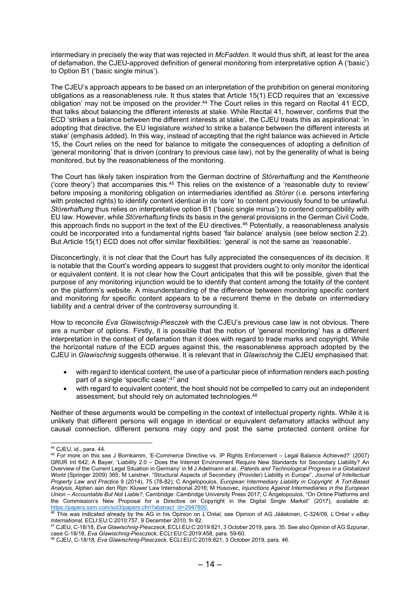intermediary in precisely the way that was rejected in *McFadden*. It would thus shift, at least for the area of defamation, the CJEU-approved definition of general monitoring from interpretative option A ('basic') to Option B1 ('basic single minus').

The CJEU's approach appears to be based on an interpretation of the prohibition on general monitoring obligations as a reasonableness rule. It thus states that Article 15(1) ECD requires that an 'excessive obligation' may not be imposed on the provider.<sup>44</sup> The Court relies in this regard on Recital 41 ECD, that talks about balancing the different interests at stake. While Recital 41, however, confirms that the ECD 'strikes a balance between the different interests at stake', the CJEU treats this as aspirational: 'in adopting that directive, the EU legislature wished to strike a balance between the different interests at stake' (emphasis added). In this way, instead of accepting that the right balance was achieved in Article 15, the Court relies on the need for balance to mitigate the consequences of adopting a definition of 'general monitoring' that is driven (contrary to previous case law), not by the generality of what is being monitored, but by the reasonableness of the monitoring.

The Court has likely taken inspiration from the German doctrine of Störerhaftung and the Kerntheorie ('core theory') that accompanies this.<sup>45</sup> This relies on the existence of a 'reasonable duty to review' before imposing a monitoring obligation on intermediaries identified as Störer (i.e. persons interfering with protected rights) to identify content identical in its 'core' to content previously found to be unlawful. Störerhaftung thus relies on interpretative option B1 ('basic single minus') to contend compatibility with EU law. However, while Störerhaftung finds its basis in the general provisions in the German Civil Code, this approach finds no support in the text of the EU directives.<sup>46</sup> Potentially, a reasonableness analysis could be incorporated into a fundamental rights based 'fair balance' analysis (see below section 2.2). But Article 15(1) ECD does not offer similar flexibilities: 'general' is not the same as 'reasonable'.

Disconcertingly, it is not clear that the Court has fully appreciated the consequences of its decision. It is notable that the Court's wording appears to suggest that providers ought to only monitor the identical or equivalent content. It is not clear how the Court anticipates that this will be possible, given that the purpose of any monitoring injunction would be to identify that content among the totality of the content on the platform's website. A misunderstanding of the difference between monitoring specific content and monitoring for specific content appears to be a recurrent theme in the debate on intermediary liability and a central driver of the controversy surrounding it.

How to reconcile Eva Glawischnig-Piesczek with the CJEU's previous case law is not obvious. There are a number of options. Firstly, it is possible that the notion of 'general monitoring' has a different interpretation in the context of defamation than it does with regard to trade marks and copyright. While the horizontal nature of the ECD argues against this, the reasonableness approach adopted by the CJEU in Glawischnig suggests otherwise. It is relevant that in Glawischnig the CJEU emphasised that:

- with regard to identical content, the use of a particular piece of information renders each posting part of a single 'specific case';<sup>47</sup> and
- with regard to equivalent content, the host should not be compelled to carry out an independent assessment, but should rely on automated technologies.<sup>48</sup>

Neither of these arguments would be compelling in the context of intellectual property rights. While it is unlikely that different persons will engage in identical or equivalent defamatory attacks without any causal connection, different persons may copy and post the same protected content online for

<sup>44</sup> CJEU, id., para. 44.

<sup>45</sup> For more on this see J Bornkamm, 'E-Commerce Directive vs. IP Rights Enforcement – Legal Balance Achieved?' (2007) GRUR Int 642; A Bayer, 'Liability 2.0 – Does the Internet Environment Require New Standards for Secondary Liability? An Overview of the Current Legal Situation in Germany' in M J Adelmann et al., Patents and Technological Progress in a Globalized World (Springer 2009) 365; M Leistner, "Structural Aspects of Secondary (Provider) Liability in Europe", Journal of Intellectual Property Law and Practice 9 (2014), 75 (78-82); C Angelopoulos, European Intermediary Liability in Copyright: A Tort-Based Analysis, Alphen aan den Rijn: Kluwer Law International 2016; M Husovec, Injunctions Against Intermediaries in the European Union – Accountable But Not Liable?, Cambridge: Cambridge University Press 2017; C Angelopoulos, "On Online Platforms and the Commission's New Proposal for a Directive on Copyright in the Digital Single Market" (2017), available at: https://papers.ssrn.com/sol3/papers.cfm?abstract\_id=2947800.

<sup>&</sup>lt;sup>46</sup> This was indicated already by the AG in his Opinion on *L'Oréal*, see Opinion of AG Jääskinen, C-324/09, *L'Oréal v eBay* International, ECLI:EU:C:2010:757, 9 December 2010, fn 82.

<sup>47</sup> CJEU, C-18/18, Eva Glawischnig-Piesczeck, ECLI:EU:C:2019:821, 3 October 2019, para. 35. See also Opinion of AG Szpunar, case C-18/18, Eva Glawischnig-Piesczeck, ECLI:EU:C:2019:458, para. 59-60.

<sup>&</sup>lt;sup>48</sup> CJEU, C-18/18, *Eva Glawischnig-Piesczeck,* ECLI:EU:C:2019:821, 3 October 2019, para. 46.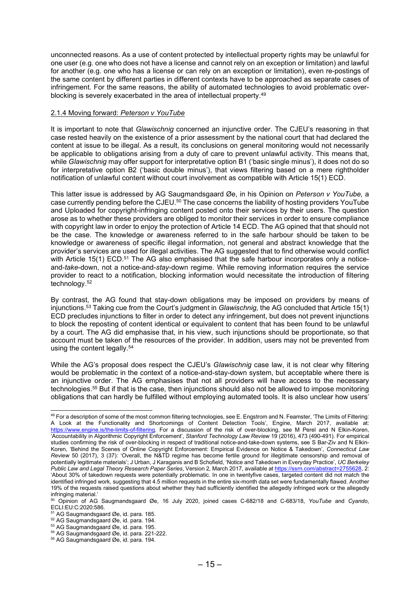unconnected reasons. As a use of content protected by intellectual property rights may be unlawful for one user (e.g. one who does not have a license and cannot rely on an exception or limitation) and lawful for another (e.g. one who has a license or can rely on an exception or limitation), even re-postings of the same content by different parties in different contexts have to be approached as separate cases of infringement. For the same reasons, the ability of automated technologies to avoid problematic overblocking is severely exacerbated in the area of intellectual property.<sup>49</sup>

## 2.1.4 Moving forward: Peterson v YouTube

It is important to note that *Glawischnig* concerned an injunctive order. The CJEU's reasoning in that case rested heavily on the existence of a prior assessment by the national court that had declared the content at issue to be illegal. As a result, its conclusions on general monitoring would not necessarily be applicable to obligations arising from a duty of care to prevent unlawful activity. This means that, while Glawischnig may offer support for interpretative option B1 ('basic single minus'), it does not do so for interpretative option B2 ('basic double minus'), that views filtering based on a mere rightholder notification of unlawful content without court involvement as compatible with Article 15(1) ECD.

This latter issue is addressed by AG Saugmandsgaard Øe, in his Opinion on Peterson v YouTube, a case currently pending before the CJEU.<sup>50</sup> The case concerns the liability of hosting providers YouTube and Uploaded for copyright-infringing content posted onto their services by their users. The question arose as to whether these providers are obliged to monitor their services in order to ensure compliance with copyright law in order to enjoy the protection of Article 14 ECD. The AG opined that that should not be the case. The knowledge or awareness referred to in the safe harbour should be taken to be knowledge or awareness of specific illegal information, not general and abstract knowledge that the provider's services are used for illegal activities. The AG suggested that to find otherwise would conflict with Article 15(1) ECD.<sup>51</sup> The AG also emphasised that the safe harbour incorporates only a noticeand-take-down, not a notice-and-stay-down regime. While removing information requires the service provider to react to a notification, blocking information would necessitate the introduction of filtering technology.<sup>52</sup>

By contrast, the AG found that stay-down obligations may be imposed on providers by means of injunctions.<sup>53</sup> Taking cue from the Court's judgment in Glawischnig, the AG concluded that Article 15(1) ECD precludes injunctions to filter in order to detect any infringement, but does not prevent injunctions to block the reposting of content identical or equivalent to content that has been found to be unlawful by a court. The AG did emphasise that, in his view, such injunctions should be proportionate, so that account must be taken of the resources of the provider. In addition, users may not be prevented from using the content legally.<sup>54</sup>

While the AG's proposal does respect the CJEU's *Glawischnig* case law, it is not clear why filtering would be problematic in the context of a notice-and-stay-down system, but acceptable where there is an injunctive order. The AG emphasises that not all providers will have access to the necessary technologies.<sup>55</sup> But if that is the case, then injunctions should also not be allowed to impose monitoring obligations that can hardly be fulfilled without employing automated tools. It is also unclear how users'

<sup>&</sup>lt;sup>49</sup> For a description of some of the most common filtering technologies, see E. Engstrom and N. Feamster, 'The Limits of Filtering: A Look at the Functionality and Shortcomings of Content Detection Tools', Engine, March 2017, available at: https://www.engine.is/the-limits-of-filtering. For a discussion of the risk of over-blocking, see M Perel and N Elkin-Koren, 'Accountability in Algorithmic Copyright Enforcement', Stanford Technology Law Review 19 (2016), 473 (490-491). For empirical studies confirming the risk of over-blocking in respect of traditional notice-and-take-down systems, see S Bar-Ziv and N Elkin-Koren, 'Behind the Scenes of Online Copyright Enforcement: Empirical Evidence on Notice & Takedown', Connecticut Law Review 50 (2017), 3 (37): 'Overall, the N&TD regime has become fertile ground for illegitimate censorship and removal of potentially legitimate materials'; J Urban, J Karaganis and B Schofield, 'Notice and Takedown in Everyday Practice', UC Berkeley Public Law and Legal Theory Research Paper Series, Version 2, March 2017, available at https://ssrn.com/abstract=2755628, 2: 'About 30% of takedown requests were potentially problematic. In one in twentyfive cases, targeted content did not match the identified infringed work, suggesting that 4.5 million requests in the entire six-month data set were fundamentally flawed. Another 19% of the requests raised questions about whether they had sufficiently identified the allegedly infringed work or the allegedly infringing material.'

<sup>&</sup>lt;sup>50</sup> Opinion of AG Saugmandsgaard Øe, 16 July 2020, joined cases C-682/18 and C-683/18, YouTube and Cyando, ECLI:EU:C:2020:586.

<sup>51</sup> AG Saugmandsgaard Øe, id. para. 185.

<sup>52</sup> AG Saugmandsgaard Øe, id. para. 194.

<sup>53</sup> AG Saugmandsgaard Øe, id. para. 195.

<sup>54</sup> AG Saugmandsgaard Øe, id. para. 221-222.

<sup>55</sup> AG Saugmandsgaard Øe, id. para. 194.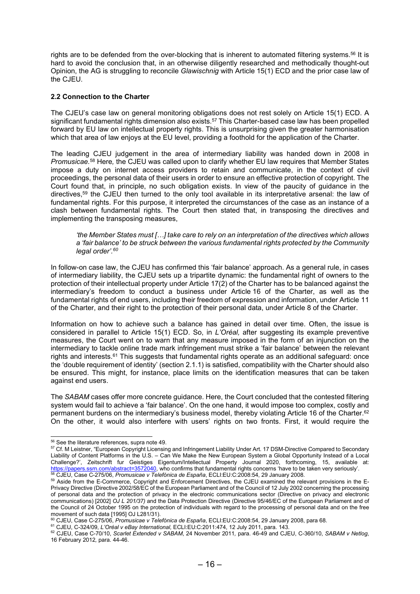rights are to be defended from the over-blocking that is inherent to automated filtering systems.<sup>56</sup> It is hard to avoid the conclusion that, in an otherwise diligently researched and methodically thought-out Opinion, the AG is struggling to reconcile Glawischnig with Article 15(1) ECD and the prior case law of the CJEU.

## 2.2 Connection to the Charter

The CJEU's case law on general monitoring obligations does not rest solely on Article 15(1) ECD. A significant fundamental rights dimension also exists.<sup>57</sup> This Charter-based case law has been propelled forward by EU law on intellectual property rights. This is unsurprising given the greater harmonisation which that area of law enjoys at the EU level, providing a foothold for the application of the Charter.

The leading CJEU judgement in the area of intermediary liability was handed down in 2008 in Promusicae.<sup>58</sup> Here, the CJEU was called upon to clarify whether EU law requires that Member States impose a duty on internet access providers to retain and communicate, in the context of civil proceedings, the personal data of their users in order to ensure an effective protection of copyright. The Court found that, in principle, no such obligation exists. In view of the paucity of guidance in the directives,<sup>59</sup> the CJEU then turned to the only tool available in its interpretative arsenal: the law of fundamental rights. For this purpose, it interpreted the circumstances of the case as an instance of a clash between fundamental rights. The Court then stated that, in transposing the directives and implementing the transposing measures,

'the Member States must […] take care to rely on an interpretation of the directives which allows a 'fair balance' to be struck between the various fundamental rights protected by the Community legal order'.<sup>60</sup>

In follow-on case law, the CJEU has confirmed this 'fair balance' approach. As a general rule, in cases of intermediary liability, the CJEU sets up a tripartite dynamic: the fundamental right of owners to the protection of their intellectual property under Article 17(2) of the Charter has to be balanced against the intermediary's freedom to conduct a business under Article 16 of the Charter, as well as the fundamental rights of end users, including their freedom of expression and information, under Article 11 of the Charter, and their right to the protection of their personal data, under Article 8 of the Charter.

Information on how to achieve such a balance has gained in detail over time. Often, the issue is considered in parallel to Article 15(1) ECD. So, in L'Oréal, after suggesting its example preventive measures, the Court went on to warn that any measure imposed in the form of an injunction on the intermediary to tackle online trade mark infringement must strike a 'fair balance' between the relevant rights and interests.<sup>61</sup> This suggests that fundamental rights operate as an additional safeguard: once the 'double requirement of identity' (section 2.1.1) is satisfied, compatibility with the Charter should also be ensured. This might, for instance, place limits on the identification measures that can be taken against end users.

The SABAM cases offer more concrete guidance. Here, the Court concluded that the contested filtering system would fail to achieve a 'fair balance'. On the one hand, it would impose too complex, costly and permanent burdens on the intermediary's business model, thereby violating Article 16 of the Charter.<sup>62</sup> On the other, it would also interfere with users' rights on two fronts. First, it would require the

<sup>60</sup> CJEU, Case C-275/06, Promusicae v Telefónica de España, ECLI:EU:C:2008:54, 29 January 2008, para 68.

<sup>56</sup> See the literature references, supra note 49.

<sup>&</sup>lt;sup>57</sup> Cf. M Leistner, "European Copyright Licensing and Infringement Liability Under Art. 17 DSM-Directive Compared to Secondary Liability of Content Platforms in the U.S. – Can We Make the New European System a Global Opportunity Instead of a Local Challenge?', Zeitschrift fur Geistiges Eigentum/Intellectual Property Journal 2020, forthcoming, 15, available at: https://papers.ssrn.com/abstract=3572040, who confirms that fundamental rights concerns 'have to be taken very seriously'. <sup>58</sup> CJEU, Case C-275/06, *Promusicae v Telefónica de España*, ECLI:EU:C:2008:54, 29 January 2008.

<sup>59</sup> Aside from the E-Commerce, Copyright and Enforcement Directives, the CJEU examined the relevant provisions in the E-Privacy Directive (Directive 2002/58/EC of the European Parliament and of the Council of 12 July 2002 concerning the processing of personal data and the protection of privacy in the electronic communications sector (Directive on privacy and electronic communications) [2002] OJ L 201/37) and the Data Protection Directive (Directive 95/46/EC of the European Parliament and of the Council of 24 October 1995 on the protection of individuals with regard to the processing of personal data and on the free movement of such data [1995] OJ L281/31).

 $61$  CJEU, C-324/09, L'Oréal v eBay International, ECLI:EU:C:2011:474, 12 July 2011, para. 143.

<sup>62</sup> CJEU, Case C-70/10, Scarlet Extended v SABAM, 24 November 2011, para. 46-49 and CJEU, C-360/10, SABAM v Netlog, 16 February 2012, para. 44-46.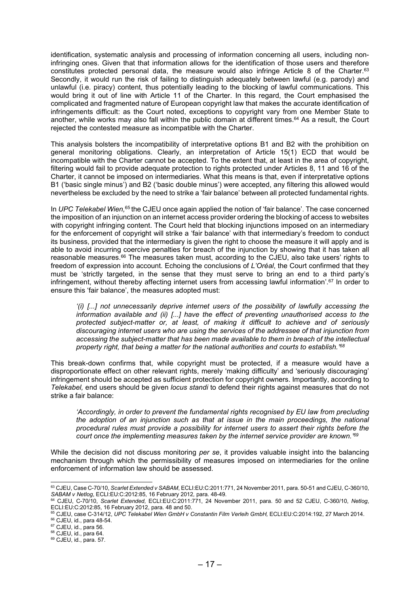identification, systematic analysis and processing of information concerning all users, including noninfringing ones. Given that that information allows for the identification of those users and therefore constitutes protected personal data, the measure would also infringe Article 8 of the Charter.<sup>63</sup> Secondly, it would run the risk of failing to distinguish adequately between lawful (e.g. parody) and unlawful (i.e. piracy) content, thus potentially leading to the blocking of lawful communications. This would bring it out of line with Article 11 of the Charter. In this regard, the Court emphasised the complicated and fragmented nature of European copyright law that makes the accurate identification of infringements difficult: as the Court noted, exceptions to copyright vary from one Member State to another, while works may also fall within the public domain at different times.<sup>64</sup> As a result, the Court rejected the contested measure as incompatible with the Charter.

This analysis bolsters the incompatibility of interpretative options B1 and B2 with the prohibition on general monitoring obligations. Clearly, an interpretation of Article 15(1) ECD that would be incompatible with the Charter cannot be accepted. To the extent that, at least in the area of copyright, filtering would fail to provide adequate protection to rights protected under Articles 8, 11 and 16 of the Charter, it cannot be imposed on intermediaries. What this means is that, even if interpretative options B1 ('basic single minus') and B2 ('basic double minus') were accepted, any filtering this allowed would nevertheless be excluded by the need to strike a 'fair balance' between all protected fundamental rights.

In UPC Telekabel Wien,<sup>65</sup>the CJEU once again applied the notion of 'fair balance'. The case concerned the imposition of an injunction on an internet access provider ordering the blocking of access to websites with copyright infringing content. The Court held that blocking injunctions imposed on an intermediary for the enforcement of copyright will strike a 'fair balance' with that intermediary's freedom to conduct its business, provided that the intermediary is given the right to choose the measure it will apply and is able to avoid incurring coercive penalties for breach of the injunction by showing that it has taken all reasonable measures.<sup>66</sup> The measures taken must, according to the CJEU, also take users' rights to freedom of expression into account. Echoing the conclusions of L'Oréal, the Court confirmed that they must be 'strictly targeted, in the sense that they must serve to bring an end to a third party's infringement, without thereby affecting internet users from accessing lawful information'.<sup>67</sup> In order to ensure this 'fair balance', the measures adopted must:

'(i) [...] not unnecessarily deprive internet users of the possibility of lawfully accessing the information available and (ii) [...] have the effect of preventing unauthorised access to the protected subject-matter or, at least, of making it difficult to achieve and of seriously discouraging internet users who are using the services of the addressee of that injunction from accessing the subject-matter that has been made available to them in breach of the intellectual property right, that being a matter for the national authorities and courts to establish.'<sup>68</sup>

This break-down confirms that, while copyright must be protected, if a measure would have a disproportionate effect on other relevant rights, merely 'making difficulty' and 'seriously discouraging' infringement should be accepted as sufficient protection for copyright owners. Importantly, according to Telekabel, end users should be given locus standi to defend their rights against measures that do not strike a fair balance:

'Accordingly, in order to prevent the fundamental rights recognised by EU law from precluding the adoption of an injunction such as that at issue in the main proceedings, the national procedural rules must provide a possibility for internet users to assert their rights before the court once the implementing measures taken by the internet service provider are known.'<sup>69</sup>

While the decision did not discuss monitoring per se, it provides valuable insight into the balancing mechanism through which the permissibility of measures imposed on intermediaries for the online enforcement of information law should be assessed.

<sup>63</sup> CJEU, Case C-70/10, Scarlet Extended v SABAM, ECLI:EU:C:2011:771, 24 November 2011, para. 50-51 and CJEU, C-360/10, SABAM v Netlog, ECLI:EU:C:2012:85, 16 February 2012, para. 48-49.

<sup>64</sup> CJEU, C-70/10, Scarlet Extended, ECLI:EU:C:2011:771, 24 November 2011, para. 50 and 52 CJEU, C-360/10, Netlog, ECLI:EU:C:2012:85, 16 February 2012, para. 48 and 50.

<sup>65</sup> CJEU, case C-314/12, UPC Telekabel Wien GmbH v Constantin Film Verleih GmbH, ECLI:EU:C:2014:192, 27 March 2014. <sup>66</sup> CJEU, id., para 48-54.

<sup>67</sup> CJEU, id., para 56.

<sup>68</sup> CJEU, id., para 64.

<sup>69</sup> CJEU, id., para. 57.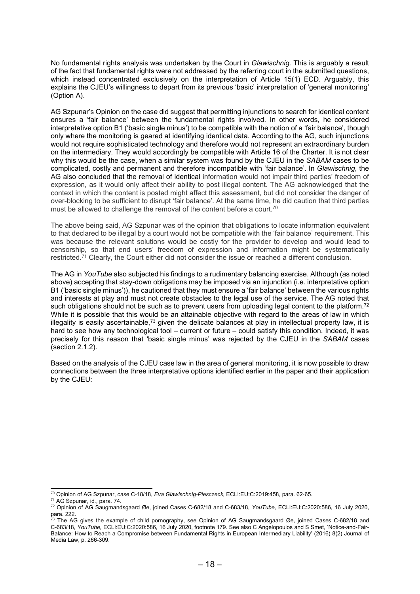No fundamental rights analysis was undertaken by the Court in Glawischnig. This is arguably a result of the fact that fundamental rights were not addressed by the referring court in the submitted questions, which instead concentrated exclusively on the interpretation of Article 15(1) ECD. Arguably, this explains the CJEU's willingness to depart from its previous 'basic' interpretation of 'general monitoring' (Option A).

AG Szpunar's Opinion on the case did suggest that permitting injunctions to search for identical content ensures a 'fair balance' between the fundamental rights involved. In other words, he considered interpretative option B1 ('basic single minus') to be compatible with the notion of a 'fair balance', though only where the monitoring is geared at identifying identical data. According to the AG, such injunctions would not require sophisticated technology and therefore would not represent an extraordinary burden on the intermediary. They would accordingly be compatible with Article 16 of the Charter. It is not clear why this would be the case, when a similar system was found by the CJEU in the SABAM cases to be complicated, costly and permanent and therefore incompatible with 'fair balance'. In Glawischnig, the AG also concluded that the removal of identical information would not impair third parties' freedom of expression, as it would only affect their ability to post illegal content. The AG acknowledged that the context in which the content is posted might affect this assessment, but did not consider the danger of over-blocking to be sufficient to disrupt 'fair balance'. At the same time, he did caution that third parties must be allowed to challenge the removal of the content before a court.<sup>70</sup>

The above being said, AG Szpunar was of the opinion that obligations to locate information equivalent to that declared to be illegal by a court would not be compatible with the 'fair balance' requirement. This was because the relevant solutions would be costly for the provider to develop and would lead to censorship, so that end users' freedom of expression and information might be systematically restricted.<sup>71</sup> Clearly, the Court either did not consider the issue or reached a different conclusion.

The AG in YouTube also subjected his findings to a rudimentary balancing exercise. Although (as noted above) accepting that stay-down obligations may be imposed via an injunction (i.e. interpretative option B1 ('basic single minus')), he cautioned that they must ensure a 'fair balance' between the various rights and interests at play and must not create obstacles to the legal use of the service. The AG noted that such obligations should not be such as to prevent users from uploading legal content to the platform.<sup>72</sup> While it is possible that this would be an attainable objective with regard to the areas of law in which illegality is easily ascertainable,<sup>73</sup> given the delicate balances at play in intellectual property law, it is hard to see how any technological tool – current or future – could satisfy this condition. Indeed, it was precisely for this reason that 'basic single minus' was rejected by the CJEU in the SABAM cases (section 2.1.2).

Based on the analysis of the CJEU case law in the area of general monitoring, it is now possible to draw connections between the three interpretative options identified earlier in the paper and their application by the CJEU:

<sup>70</sup> Opinion of AG Szpunar, case C-18/18, Eva Glawischnig-Piesczeck, ECLI:EU:C:2019:458, para. 62-65.

<sup>71</sup> AG Szpunar, id., para. 74.

<sup>72</sup> Opinion of AG Saugmandsgaard Øe, joined Cases C-682/18 and C-683/18, YouTube, ECLI:EU:C:2020:586, 16 July 2020, para. 222.

<sup>&</sup>lt;sup>73</sup> The AG gives the example of child pornography, see Opinion of AG Saugmandsgaard Øe, joined Cases C-682/18 and C-683/18, YouTube, ECLI:EU:C:2020:586, 16 July 2020, footnote 179. See also C Angelopoulos and S Smet, 'Notice-and-Fair-Balance: How to Reach a Compromise between Fundamental Rights in European Intermediary Liability' (2016) 8(2) Journal of Media Law, p. 266-309.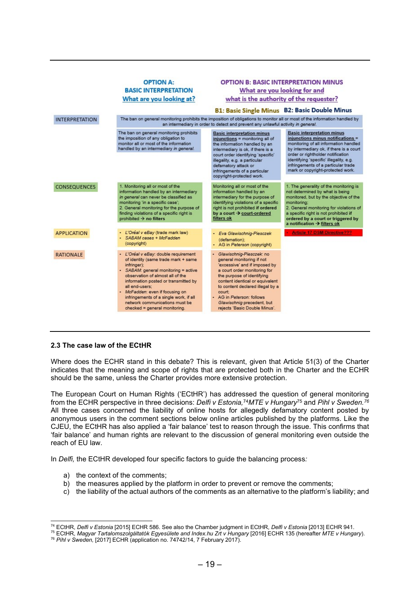

#### 2.3 The case law of the ECtHR

Where does the ECHR stand in this debate? This is relevant, given that Article 51(3) of the Charter indicates that the meaning and scope of rights that are protected both in the Charter and the ECHR should be the same, unless the Charter provides more extensive protection.

The European Court on Human Rights ('ECtHR') has addressed the question of general monitoring from the ECHR perspective in three decisions: Delfi v Estonia,<sup>74</sup>MTE v Hungary<sup>75</sup> and Pihl v Sweden.<sup>76</sup> All three cases concerned the liability of online hosts for allegedly defamatory content posted by anonymous users in the comment sections below online articles published by the platforms. Like the CJEU, the ECtHR has also applied a 'fair balance' test to reason through the issue. This confirms that 'fair balance' and human rights are relevant to the discussion of general monitoring even outside the reach of EU law.

In Delfi, the ECtHR developed four specific factors to guide the balancing process:

- a) the context of the comments;
- b) the measures applied by the platform in order to prevent or remove the comments;
- c) the liability of the actual authors of the comments as an alternative to the platform's liability; and

<sup>&</sup>lt;sup>74</sup> ECtHR, Delfi v Estonia [2015] ECHR 586. See also the Chamber judgment in ECtHR, Delfi v Estonia [2013] ECHR 941.

<sup>&</sup>lt;sup>75</sup> ECtHR, Magyar Tartalomszolgáltatók Egyesülete and Index hu Zrt v Hungary [2016] ECHR 135 (hereafter MTE v Hungary).

<sup>&</sup>lt;sup>76</sup> Pihl v Sweden, [2017] ECHR (application no. 74742/14, 7 February 2017).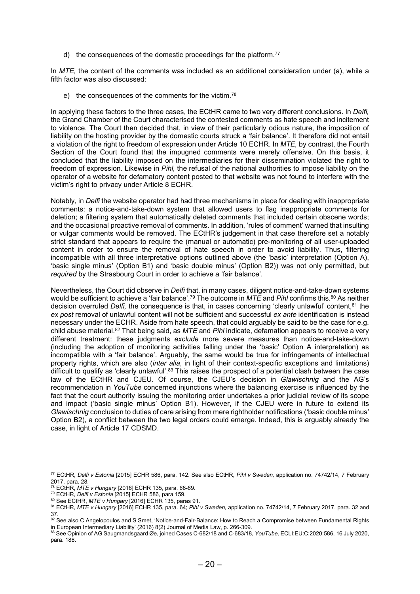d) the consequences of the domestic proceedings for the platform.<sup>77</sup>

In  $MTE$ , the content of the comments was included as an additional consideration under (a), while a fifth factor was also discussed:

e) the consequences of the comments for the victim.<sup>78</sup>

In applying these factors to the three cases, the ECtHR came to two very different conclusions. In Delfi, the Grand Chamber of the Court characterised the contested comments as hate speech and incitement to violence. The Court then decided that, in view of their particularly odious nature, the imposition of liability on the hosting provider by the domestic courts struck a 'fair balance'. It therefore did not entail a violation of the right to freedom of expression under Article 10 ECHR. In MTE, by contrast, the Fourth Section of the Court found that the impugned comments were merely offensive. On this basis, it concluded that the liability imposed on the intermediaries for their dissemination violated the right to freedom of expression. Likewise in Pihl, the refusal of the national authorities to impose liability on the operator of a website for defamatory content posted to that website was not found to interfere with the victim's right to privacy under Article 8 ECHR.

Notably, in Delfi the website operator had had three mechanisms in place for dealing with inappropriate comments: a notice-and-take-down system that allowed users to flag inappropriate comments for deletion; a filtering system that automatically deleted comments that included certain obscene words; and the occasional proactive removal of comments. In addition, 'rules of comment' warned that insulting or vulgar comments would be removed. The ECtHR's judgement in that case therefore set a notably strict standard that appears to require the (manual or automatic) pre-monitoring of all user-uploaded content in order to ensure the removal of hate speech in order to avoid liability. Thus, filtering incompatible with all three interpretative options outlined above (the 'basic' interpretation (Option A), 'basic single minus' (Option B1) and 'basic double minus' (Option B2)) was not only permitted, but required by the Strasbourg Court in order to achieve a 'fair balance'.

Nevertheless, the Court did observe in Delfi that, in many cases, diligent notice-and-take-down systems would be sufficient to achieve a 'fair balance'.<sup>79</sup> The outcome in MTE and Pihl confirms this.<sup>80</sup> As neither decision overruled Delfi, the consequence is that, in cases concerning 'clearly unlawful' content,<sup>81</sup> the ex post removal of unlawful content will not be sufficient and successful ex ante identification is instead necessary under the ECHR. Aside from hate speech, that could arguably be said to be the case for e.g. child abuse material.<sup>82</sup> That being said, as  $MTE$  and Pihl indicate, defamation appears to receive a very different treatment: these judgments exclude more severe measures than notice-and-take-down (including the adoption of monitoring activities falling under the 'basic' Option A interpretation) as incompatible with a 'fair balance'. Arguably, the same would be true for infringements of intellectual property rights, which are also (inter alia, in light of their context-specific exceptions and limitations) difficult to qualify as 'clearly unlawful'.<sup>83</sup> This raises the prospect of a potential clash between the case law of the ECtHR and CJEU. Of course, the CJEU's decision in Glawischnig and the AG's recommendation in YouTube concerned injunctions where the balancing exercise is influenced by the fact that the court authority issuing the monitoring order undertakes a prior judicial review of its scope and impact ('basic single minus' Option B1). However, if the CJEU were in future to extend its Glawischnig conclusion to duties of care arising from mere rightholder notifications ('basic double minus' Option B2), a conflict between the two legal orders could emerge. Indeed, this is arguably already the case, in light of Article 17 CDSMD.

<sup>77</sup> ECtHR, Delfi v Estonia [2015] ECHR 586, para. 142. See also ECtHR, Pihl v Sweden, application no. 74742/14, 7 February 2017, para. 28.

<sup>78</sup> ECtHR, MTE v Hungary [2016] ECHR 135, para. 68-69.

<sup>79</sup> ECtHR, Delfi v Estonia [2015] ECHR 586, para 159.

<sup>80</sup> See ECtHR, MTE v Hungary [2016] ECHR 135, paras 91.

<sup>&</sup>lt;sup>81</sup> ECtHR, MTE v Hungary [2016] ECHR 135, para. 64; Pihl v Sweden, application no. 74742/14, 7 February 2017, para. 32 and 37.

 $82$  See also C Angelopoulos and S Smet, 'Notice-and-Fair-Balance: How to Reach a Compromise between Fundamental Rights in European Intermediary Liability' (2016) 8(2) Journal of Media Law, p. 266-309.

<sup>83</sup> See Opinion of AG Saugmandsgaard Øe, joined Cases C-682/18 and C-683/18, YouTube, ECLI:EU:C:2020:586, 16 July 2020, para. 188.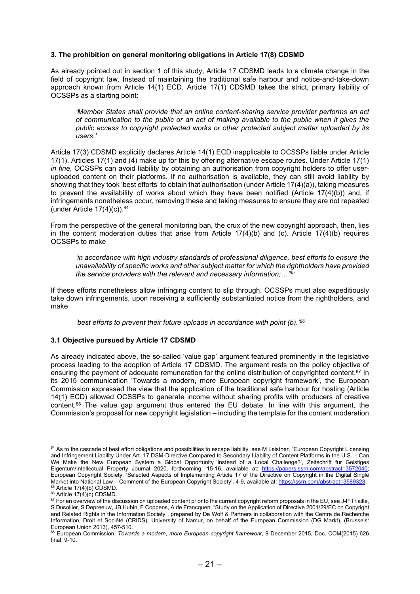## 3. The prohibition on general monitoring obligations in Article 17(8) CDSMD

As already pointed out in section 1 of this study, Article 17 CDSMD leads to a climate change in the field of copyright law. Instead of maintaining the traditional safe harbour and notice-and-take-down approach known from Article 14(1) ECD, Article 17(1) CDSMD takes the strict, primary liability of OCSSPs as a starting point:

'Member States shall provide that an online content-sharing service provider performs an act of communication to the public or an act of making available to the public when it gives the public access to copyright protected works or other protected subject matter uploaded by its users.'

Article 17(3) CDSMD explicitly declares Article 14(1) ECD inapplicable to OCSSPs liable under Article 17(1). Articles 17(1) and (4) make up for this by offering alternative escape routes. Under Article 17(1) in fine, OCSSPs can avoid liability by obtaining an authorisation from copyright holders to offer useruploaded content on their platforms. If no authorisation is available, they can still avoid liability by showing that they took 'best efforts' to obtain that authorisation (under Article 17(4)(a)), taking measures to prevent the availability of works about which they have been notified (Article 17(4)(b)) and, if infringements nonetheless occur, removing these and taking measures to ensure they are not repeated (under Article  $17(4)(c)$ ).<sup>84</sup>

From the perspective of the general monitoring ban, the crux of the new copyright approach, then, lies in the content moderation duties that arise from Article  $17(4)(b)$  and (c). Article  $17(4)(b)$  requires OCSSPs to make

'in accordance with high industry standards of professional diligence, best efforts to ensure the unavailability of specific works and other subject matter for which the rightholders have provided the service providers with the relevant and necessary information;…'<sup>85</sup>

If these efforts nonetheless allow infringing content to slip through, OCSSPs must also expeditiously take down infringements, upon receiving a sufficiently substantiated notice from the rightholders, and make

'best efforts to prevent their future uploads in accordance with point (b).'<sup>86</sup>

#### 3.1 Objective pursued by Article 17 CDSMD

As already indicated above, the so-called 'value gap' argument featured prominently in the legislative process leading to the adoption of Article 17 CDSMD. The argument rests on the policy objective of ensuring the payment of adequate remuneration for the online distribution of copyrighted content.<sup>87</sup> In its 2015 communication 'Towards a modern, more European copyright framework', the European Commission expressed the view that the application of the traditional safe harbour for hosting (Article 14(1) ECD) allowed OCSSPs to generate income without sharing profits with producers of creative content.<sup>88</sup> The value gap argument thus entered the EU debate. In line with this argument, the Commission's proposal for new copyright legislation – including the template for the content moderation

<sup>84</sup> As to the cascade of best effort obligations and possibilities to escape liability, see M Leistner, "European Copyright Licensing and Infringement Liability Under Art. 17 DSM-Directive Compared to Secondary Liability of Content Platforms in the U.S. – Can We Make the New European System a Global Opportunity Instead of a Local Challenge?', Zeitschrift fur Geistiges Eigentum/Intellectual Property Journal 2020, forthcoming, 15-16, available at: https://papers.ssrn.com/abstract=3572040; European Copyright Society, 'Selected Aspects of Implementing Article 17 of the Directive on Copyright in the Digital Single Market into National Law – Comment of the European Copyright Society', 4-9, available at: https://ssrn.com/abstract=3589323. 85 Article 17(4)(b) CDSMD.

 $86$  Article 17(4)(c) CDSMD.

<sup>&</sup>lt;sup>87</sup> For an overview of the discussion on uploaded content prior to the current copyright reform proposals in the EU, see J-P Triaille, S Dusollier, S Depreeuw, JB Hubin, F Coppens, A de Francquen, "Study on the Application of Directive 2001/29/EC on Copyright and Related Rights in the Information Society", prepared by De Wolf & Partners in collaboration with the Centre de Recherche Information, Droit et Société (CRIDS), University of Namur, on behalf of the European Commission (DG Markt), (Brussels: European Union 2013), 457-510.

<sup>88</sup> European Commission, Towards a modern, more European copyright framework, 9 December 2015, Doc. COM(2015) 626 final, 9-10.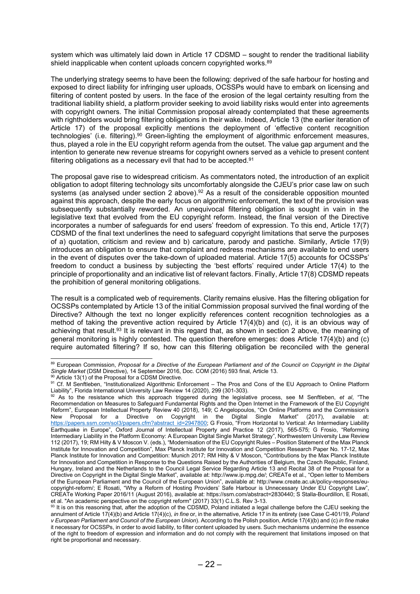system which was ultimately laid down in Article 17 CDSMD – sought to render the traditional liability shield inapplicable when content uploads concern copyrighted works.<sup>89</sup>

The underlying strategy seems to have been the following: deprived of the safe harbour for hosting and exposed to direct liability for infringing user uploads, OCSSPs would have to embark on licensing and filtering of content posted by users. In the face of the erosion of the legal certainty resulting from the traditional liability shield, a platform provider seeking to avoid liability risks would enter into agreements with copyright owners. The initial Commission proposal already contemplated that these agreements with rightholders would bring filtering obligations in their wake. Indeed, Article 13 (the earlier iteration of Article 17) of the proposal explicitly mentions the deployment of 'effective content recognition technologies' (i.e. filtering).<sup>90</sup> Green-lighting the employment of algorithmic enforcement measures, thus, played a role in the EU copyright reform agenda from the outset. The value gap argument and the intention to generate new revenue streams for copyright owners served as a vehicle to present content filtering obligations as a necessary evil that had to be accepted.<sup>91</sup>

The proposal gave rise to widespread criticism. As commentators noted, the introduction of an explicit obligation to adopt filtering technology sits uncomfortably alongside the CJEU's prior case law on such systems (as analysed under section 2 above).<sup>92</sup> As a result of the considerable opposition mounted against this approach, despite the early focus on algorithmic enforcement, the text of the provision was subsequently substantially reworded. An unequivocal filtering obligation is sought in vain in the legislative text that evolved from the EU copyright reform. Instead, the final version of the Directive incorporates a number of safeguards for end users' freedom of expression. To this end, Article 17(7) CDSMD of the final text underlines the need to safeguard copyright limitations that serve the purposes of a) quotation, criticism and review and b) caricature, parody and pastiche. Similarly, Article 17(9) introduces an obligation to ensure that complaint and redress mechanisms are available to end users in the event of disputes over the take-down of uploaded material. Article 17(5) accounts for OCSSPs' freedom to conduct a business by subjecting the 'best efforts' required under Article 17(4) to the principle of proportionality and an indicative list of relevant factors. Finally, Article 17(8) CDSMD repeats the prohibition of general monitoring obligations.

The result is a complicated web of requirements. Clarity remains elusive. Has the filtering obligation for OCSSPs contemplated by Article 13 of the initial Commission proposal survived the final wording of the Directive? Although the text no longer explicitly references content recognition technologies as a method of taking the preventive action required by Article 17(4)(b) and (c), it is an obvious way of achieving that result.<sup>93</sup> It is relevant in this regard that, as shown in section 2 above, the meaning of general monitoring is highly contested. The question therefore emerges: does Article 17(4)(b) and (c) require automated filtering? If so, how can this filtering obligation be reconciled with the general

<sup>89</sup> European Commission, Proposal for a Directive of the European Parliament and of the Council on Copyright in the Digital Single Market (DSM Directive), 14 September 2016, Doc. COM (2016) 593 final, Article 13.

<sup>90</sup> Article 13(1) of the Proposal for a CDSM Directive.

<sup>91</sup> Cf. M Senftleben, "Institutionalized Algorithmic Enforcement – The Pros and Cons of the EU Approach to Online Platform Liability", Florida International University Law Review 14 (2020), 299 (301-303).

As to the resistance which this approach triggered during the legislative process, see M Senftleben, et al, "The Recommendation on Measures to Safeguard Fundamental Rights and the Open Internet in the Framework of the EU Copyright Reform", European Intellectual Property Review 40 (2018), 149; C Angelopoulos, "On Online Platforms and the Commission's New Proposal for a Directive on Copyright in the Digital Single Market" (2017), available at: https://papers.ssrn.com/sol3/papers.cfm?abstract\_id=2947800; G Frosio, "From Horizontal to Vertical: An Intermediary Liability Earthquake in Europe", Oxford Journal of Intellectual Property and Practice 12 (2017), 565-575; G Frosio, "Reforming Intermediary Liability in the Platform Economy: A European Digital Single Market Strategy", Northwestern University Law Review 112 (2017), 19; RM Hilty & V Moscon V. (eds.), "Modernisation of the EU Copyright Rules – Position Statement of the Max Planck Institute for Innovation and Competition", Max Planck Institute for Innovation and Competition Research Paper No. 17-12, Max Planck Institute for Innovation and Competition: Munich 2017; RM Hilty & V Moscon, "Contributions by the Max Planck Institute for Innovation and Competition in Response to the Questions Raised by the Authorities of Belgium, the Czech Republic, Finland, Hungary, Ireland and the Netherlands to the Council Legal Service Regarding Article 13 and Recital 38 of the Proposal for a Directive on Copyright in the Digital Single Market", available at: http://www.ip.mpg.de/; CREATe et al., "Open letter to Members of the European Parliament and the Council of the European Union", available at: http://www.create.ac.uk/policy-responses/eucopyright-reform/; E Rosati, "Why a Reform of Hosting Providers' Safe Harbour is Unnecessary Under EU Copyright Law", CREATe Working Paper 2016/11 (August 2016), available at: https://ssrn.com/abstract=2830440; S Stalla-Bourdillon, E Rosati, et al. "An academic perspective on the copyright reform" (2017) 33(1) C.L.S. Rev 3-13.

 $93$  It is on this reasoning that, after the adoption of the CDSMD, Poland initiated a legal challenge before the CJEU seeking the annulment of Article 17(4)(b) and Article 17(4)(c), in fine or, in the alternative, Article 17 in its entirety (see Case C-401/19, Poland v European Parliament and Council of the European Union). According to the Polish position, Article 17(4)(b) and (c) in fine make it necessary for OCSSPs, in order to avoid liability, to filter content uploaded by users. Such mechanisms undermine the essence of the right to freedom of expression and information and do not comply with the requirement that limitations imposed on that right be proportional and necessary.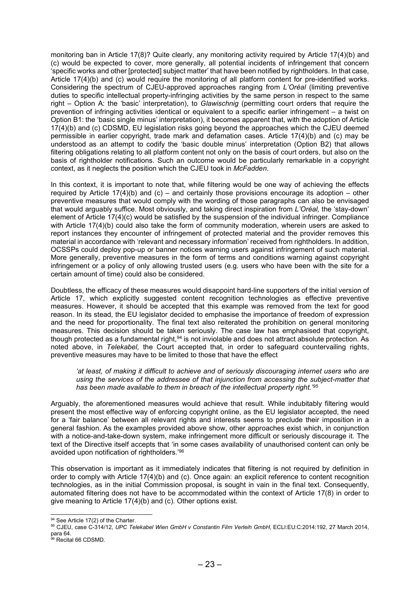monitoring ban in Article 17(8)? Quite clearly, any monitoring activity required by Article 17(4)(b) and (c) would be expected to cover, more generally, all potential incidents of infringement that concern 'specific works and other [protected] subject matter' that have been notified by rightholders. In that case, Article 17(4)(b) and (c) would require the monitoring of all platform content for pre-identified works. Considering the spectrum of CJEU-approved approaches ranging from L'Oréal (limiting preventive duties to specific intellectual property-infringing activities by the same person in respect to the same right – Option A: the 'basic' interpretation), to Glawischnig (permitting court orders that require the prevention of infringing activities identical or equivalent to a specific earlier infringement – a twist on Option B1: the 'basic single minus' interpretation), it becomes apparent that, with the adoption of Article 17(4)(b) and (c) CDSMD, EU legislation risks going beyond the approaches which the CJEU deemed permissible in earlier copyright, trade mark and defamation cases. Article 17(4)(b) and (c) may be understood as an attempt to codify the 'basic double minus' interpretation (Option B2) that allows filtering obligations relating to all platform content not only on the basis of court orders, but also on the basis of rightholder notifications. Such an outcome would be particularly remarkable in a copyright context, as it neglects the position which the CJEU took in McFadden.

In this context, it is important to note that, while filtering would be one way of achieving the effects required by Article 17(4)(b) and (c) – and certainly those provisions encourage its adoption – other preventive measures that would comply with the wording of those paragraphs can also be envisaged that would arguably suffice. Most obviously, and taking direct inspiration from L'Oréal, the 'stay-down' element of Article 17(4)(c) would be satisfied by the suspension of the individual infringer. Compliance with Article 17(4)(b) could also take the form of community moderation, wherein users are asked to report instances they encounter of infringement of protected material and the provider removes this material in accordance with 'relevant and necessary information' received from rightholders. In addition, OCSSPs could deploy pop-up or banner notices warning users against infringement of such material. More generally, preventive measures in the form of terms and conditions warning against copyright infringement or a policy of only allowing trusted users (e.g. users who have been with the site for a certain amount of time) could also be considered.

Doubtless, the efficacy of these measures would disappoint hard-line supporters of the initial version of Article 17, which explicitly suggested content recognition technologies as effective preventive measures. However, it should be accepted that this example was removed from the text for good reason. In its stead, the EU legislator decided to emphasise the importance of freedom of expression and the need for proportionality. The final text also reiterated the prohibition on general monitoring measures. This decision should be taken seriously. The case law has emphasised that copyright, though protected as a fundamental right,<sup>94</sup> is not inviolable and does not attract absolute protection. As noted above, in Telekabel, the Court accepted that, in order to safeguard countervailing rights, preventive measures may have to be limited to those that have the effect

'at least, of making it difficult to achieve and of seriously discouraging internet users who are using the services of the addressee of that injunction from accessing the subject-matter that has been made available to them in breach of the intellectual property right.<sup>'95</sup>

Arguably, the aforementioned measures would achieve that result. While indubitably filtering would present the most effective way of enforcing copyright online, as the EU legislator accepted, the need for a 'fair balance' between all relevant rights and interests seems to preclude their imposition in a general fashion. As the examples provided above show, other approaches exist which, in conjunction with a notice-and-take-down system, make infringement more difficult or seriously discourage it. The text of the Directive itself accepts that 'in some cases availability of unauthorised content can only be avoided upon notification of rightholders.'<sup>96</sup>

This observation is important as it immediately indicates that filtering is not required by definition in order to comply with Article 17(4)(b) and (c). Once again: an explicit reference to content recognition technologies, as in the initial Commission proposal, is sought in vain in the final text. Consequently, automated filtering does not have to be accommodated within the context of Article 17(8) in order to give meaning to Article 17(4)(b) and (c). Other options exist.

<sup>94</sup> See Article 17(2) of the Charter.

<sup>95</sup> CJEU, case C-314/12, UPC Telekabel Wien GmbH v Constantin Film Verleih GmbH, ECLI:EU:C:2014:192, 27 March 2014, para 64.

<sup>&</sup>lt;sup>96</sup> Recital 66 CDSMD.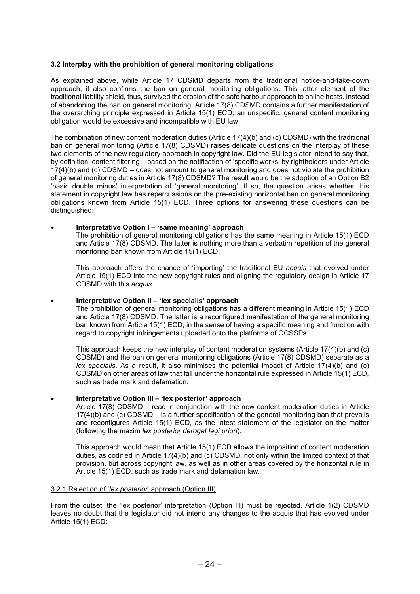## 3.2 Interplay with the prohibition of general monitoring obligations

As explained above, while Article 17 CDSMD departs from the traditional notice-and-take-down approach, it also confirms the ban on general monitoring obligations. This latter element of the traditional liability shield, thus, survived the erosion of the safe harbour approach to online hosts. Instead of abandoning the ban on general monitoring, Article 17(8) CDSMD contains a further manifestation of the overarching principle expressed in Article 15(1) ECD: an unspecific, general content monitoring obligation would be excessive and incompatible with EU law.

The combination of new content moderation duties (Article 17(4)(b) and (c) CDSMD) with the traditional ban on general monitoring (Article 17(8) CDSMD) raises delicate questions on the interplay of these two elements of the new regulatory approach in copyright law. Did the EU legislator intend to say that, by definition, content filtering – based on the notification of 'specific works' by rightholders under Article 17(4)(b) and (c) CDSMD – does not amount to general monitoring and does not violate the prohibition of general monitoring duties in Article 17(8) CDSMD? The result would be the adoption of an Option B2 'basic double minus' interpretation of 'general monitoring'. If so, the question arises whether this statement in copyright law has repercussions on the pre-existing horizontal ban on general monitoring obligations known from Article 15(1) ECD. Three options for answering these questions can be distinguished:

## Interpretative Option I – 'same meaning' approach

The prohibition of general monitoring obligations has the same meaning in Article 15(1) ECD and Article 17(8) CDSMD. The latter is nothing more than a verbatim repetition of the general monitoring ban known from Article 15(1) ECD.

This approach offers the chance of 'importing' the traditional EU acquis that evolved under Article 15(1) ECD into the new copyright rules and aligning the regulatory design in Article 17 CDSMD with this acquis.

#### Interpretative Option II – 'lex specialis' approach

The prohibition of general monitoring obligations has a different meaning in Article 15(1) ECD and Article 17(8) CDSMD. The latter is a reconfigured manifestation of the general monitoring ban known from Article 15(1) ECD, in the sense of having a specific meaning and function with regard to copyright infringements uploaded onto the platforms of OCSSPs.

This approach keeps the new interplay of content moderation systems (Article 17(4)(b) and (c) CDSMD) and the ban on general monitoring obligations (Article 17(8) CDSMD) separate as a lex specialis. As a result, it also minimises the potential impact of Article  $17(4)(b)$  and (c) CDSMD on other areas of law that fall under the horizontal rule expressed in Article 15(1) ECD, such as trade mark and defamation.

## Interpretative Option III – 'lex posterior' approach

Article 17(8) CDSMD – read in conjunction with the new content moderation duties in Article 17(4)(b) and (c) CDSMD – is a further specification of the general monitoring ban that prevails and reconfigures Article 15(1) ECD, as the latest statement of the legislator on the matter (following the maxim lex posterior derogat legi priori).

This approach would mean that Article 15(1) ECD allows the imposition of content moderation duties, as codified in Article 17(4)(b) and (c) CDSMD, not only within the limited context of that provision, but across copyright law, as well as in other areas covered by the horizontal rule in Article 15(1) ECD, such as trade mark and defamation law.

#### 3.2.1 Rejection of 'lex posterior' approach (Option III)

From the outset, the 'lex posterior' interpretation (Option III) must be rejected. Article 1(2) CDSMD leaves no doubt that the legislator did not intend any changes to the acquis that has evolved under Article 15(1) ECD: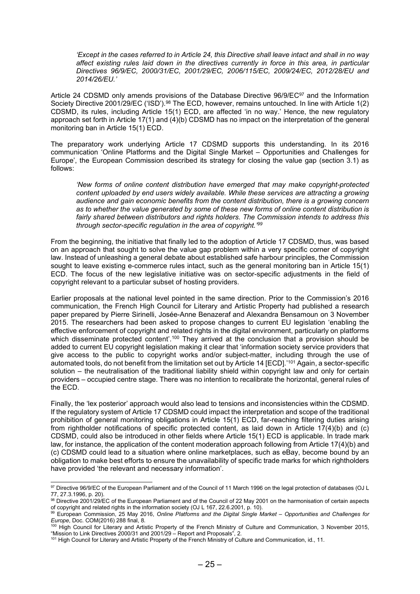'Except in the cases referred to in Article 24, this Directive shall leave intact and shall in no way affect existing rules laid down in the directives currently in force in this area, in particular Directives 96/9/EC, 2000/31/EC, 2001/29/EC, 2006/115/EC, 2009/24/EC, 2012/28/EU and 2014/26/EU.'

Article 24 CDSMD only amends provisions of the Database Directive 96/9/EC<sup>97</sup> and the Information Society Directive 2001/29/EC ('ISD').<sup>98</sup> The ECD, however, remains untouched. In line with Article 1(2) CDSMD, its rules, including Article 15(1) ECD, are affected 'in no way.' Hence, the new regulatory approach set forth in Article 17(1) and (4)(b) CDSMD has no impact on the interpretation of the general monitoring ban in Article 15(1) ECD.

The preparatory work underlying Article 17 CDSMD supports this understanding. In its 2016 communication 'Online Platforms and the Digital Single Market – Opportunities and Challenges for Europe', the European Commission described its strategy for closing the value gap (section 3.1) as follows:

'New forms of online content distribution have emerged that may make copyright-protected content uploaded by end users widely available. While these services are attracting a growing audience and gain economic benefits from the content distribution, there is a growing concern as to whether the value generated by some of these new forms of online content distribution is fairly shared between distributors and rights holders. The Commission intends to address this through sector-specific regulation in the area of copyright.'<sup>99</sup>

From the beginning, the initiative that finally led to the adoption of Article 17 CDSMD, thus, was based on an approach that sought to solve the value gap problem within a very specific corner of copyright law. Instead of unleashing a general debate about established safe harbour principles, the Commission sought to leave existing e-commerce rules intact, such as the general monitoring ban in Article 15(1) ECD. The focus of the new legislative initiative was on sector-specific adjustments in the field of copyright relevant to a particular subset of hosting providers.

Earlier proposals at the national level pointed in the same direction. Prior to the Commission's 2016 communication, the French High Council for Literary and Artistic Property had published a research paper prepared by Pierre Sirinelli, Josée-Anne Benazeraf and Alexandra Bensamoun on 3 November 2015. The researchers had been asked to propose changes to current EU legislation 'enabling the effective enforcement of copyright and related rights in the digital environment, particularly on platforms which disseminate protected content'.<sup>100</sup> They arrived at the conclusion that a provision should be added to current EU copyright legislation making it clear that 'information society service providers that give access to the public to copyright works and/or subject-matter, including through the use of automated tools, do not benefit from the limitation set out by Article 14 [ECD].'<sup>101</sup> Again, a sector-specific solution – the neutralisation of the traditional liability shield within copyright law and only for certain providers – occupied centre stage. There was no intention to recalibrate the horizontal, general rules of the ECD.

Finally, the 'lex posterior' approach would also lead to tensions and inconsistencies within the CDSMD. If the regulatory system of Article 17 CDSMD could impact the interpretation and scope of the traditional prohibition of general monitoring obligations in Article 15(1) ECD, far-reaching filtering duties arising from rightholder notifications of specific protected content, as laid down in Article 17(4)(b) and (c) CDSMD, could also be introduced in other fields where Article 15(1) ECD is applicable. In trade mark law, for instance, the application of the content moderation approach following from Article 17(4)(b) and (c) CDSMD could lead to a situation where online marketplaces, such as eBay, become bound by an obligation to make best efforts to ensure the unavailability of specific trade marks for which rightholders have provided 'the relevant and necessary information'.

<sup>97</sup> Directive 96/9/EC of the European Parliament and of the Council of 11 March 1996 on the legal protection of databases (OJ L 77, 27.3.1996, p. 20).

<sup>98</sup> Directive 2001/29/EC of the European Parliament and of the Council of 22 May 2001 on the harmonisation of certain aspects of copyright and related rights in the information society (OJ L 167, 22.6.2001, p. 10).

<sup>99</sup> European Commission, 25 May 2016, Online Platforms and the Digital Single Market – Opportunities and Challenges for Europe, Doc. COM(2016) 288 final, 8.

<sup>&</sup>lt;sup>100</sup> High Council for Literary and Artistic Property of the French Ministry of Culture and Communication, 3 November 2015, "Mission to Link Directives 2000/31 and 2001/29 – Report and Proposals", 2.

<sup>101</sup> High Council for Literary and Artistic Property of the French Ministry of Culture and Communication, id., 11.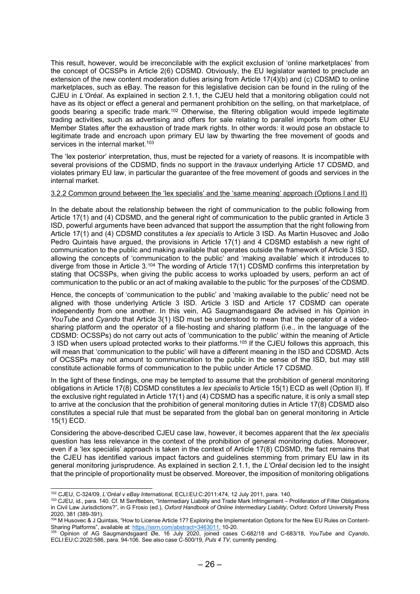This result, however, would be irreconcilable with the explicit exclusion of 'online marketplaces' from the concept of OCSSPs in Article 2(6) CDSMD. Obviously, the EU legislator wanted to preclude an extension of the new content moderation duties arising from Article 17(4)(b) and (c) CDSMD to online marketplaces, such as eBay. The reason for this legislative decision can be found in the ruling of the CJEU in L'Oréal. As explained in section 2.1.1, the CJEU held that a monitoring obligation could not have as its object or effect a general and permanent prohibition on the selling, on that marketplace, of goods bearing a specific trade mark.<sup>102</sup> Otherwise, the filtering obligation would impede legitimate trading activities, such as advertising and offers for sale relating to parallel imports from other EU Member States after the exhaustion of trade mark rights. In other words: it would pose an obstacle to legitimate trade and encroach upon primary EU law by thwarting the free movement of goods and services in the internal market.<sup>103</sup>

The 'lex posterior' interpretation, thus, must be rejected for a variety of reasons. It is incompatible with several provisions of the CDSMD, finds no support in the *travaux* underlying Article 17 CDSMD, and violates primary EU law, in particular the guarantee of the free movement of goods and services in the internal market.

#### 3.2.2 Common ground between the 'lex specialis' and the 'same meaning' approach (Options I and II)

In the debate about the relationship between the right of communication to the public following from Article 17(1) and (4) CDSMD, and the general right of communication to the public granted in Article 3 ISD, powerful arguments have been advanced that support the assumption that the right following from Article 17(1) and (4) CDSMD constitutes a lex specialis to Article 3 ISD. As Martin Husovec and João Pedro Quintais have argued, the provisions in Article 17(1) and 4 CDSMD establish a new right of communication to the public and making available that operates outside the framework of Article 3 ISD, allowing the concepts of 'communication to the public' and 'making available' which it introduces to diverge from those in Article 3.<sup>104</sup> The wording of Article 17(1) CDSMD confirms this interpretation by stating that OCSSPs, when giving the public access to works uploaded by users, perform an act of communication to the public or an act of making available to the public 'for the purposes' of the CDSMD.

Hence, the concepts of 'communication to the public' and 'making available to the public' need not be aligned with those underlying Article 3 ISD. Article 3 ISD and Article 17 CDSMD can operate independently from one another. In this vein, AG Saugmandsgaard Øe advised in his Opinion in YouTube and Cyando that Article 3(1) ISD must be understood to mean that the operator of a videosharing platform and the operator of a file-hosting and sharing platform (i.e., in the language of the CDSMD: OCSSPs) do not carry out acts of 'communication to the public' within the meaning of Article 3 ISD when users upload protected works to their platforms.<sup>105</sup> If the CJEU follows this approach, this will mean that 'communication to the public' will have a different meaning in the ISD and CDSMD. Acts of OCSSPs may not amount to communication to the public in the sense of the ISD, but may still constitute actionable forms of communication to the public under Article 17 CDSMD.

In the light of these findings, one may be tempted to assume that the prohibition of general monitoring obligations in Article 17(8) CDSMD constitutes a lex specialis to Article 15(1) ECD as well (Option II). If the exclusive right regulated in Article 17(1) and (4) CDSMD has a specific nature, it is only a small step to arrive at the conclusion that the prohibition of general monitoring duties in Article 17(8) CDSMD also constitutes a special rule that must be separated from the global ban on general monitoring in Article 15(1) ECD.

Considering the above-described CJEU case law, however, it becomes apparent that the lex specialis question has less relevance in the context of the prohibition of general monitoring duties. Moreover, even if a 'lex specialis' approach is taken in the context of Article 17(8) CDSMD, the fact remains that the CJEU has identified various impact factors and guidelines stemming from primary EU law in its general monitoring jurisprudence. As explained in section 2.1.1, the L'Oréal decision led to the insight that the principle of proportionality must be observed. Moreover, the imposition of monitoring obligations

<sup>102</sup> CJEU, C-324/09, L'Oréal v eBay International, ECLI:EU:C:2011:474, 12 July 2011, para. 140.

<sup>103</sup> CJEU, id., para. 140. Cf. M Senftleben, "Intermediary Liability and Trade Mark Infringement – Proliferation of Filter Obligations in Civil Law Jurisdictions?", in G Frosio (ed.), Oxford Handbook of Online Intermediary Liability, Oxford: Oxford University Press 2020, 381 (389-391).

<sup>104</sup> M Husovec & J Quintais, "How to License Article 17? Exploring the Implementation Options for the New EU Rules on Content-Sharing Platforms", available at: https://ssrn.com/abstract=3463011, 10-20.

<sup>&</sup>lt;sup>105</sup> Opinion of AG Saugmandsgaard Øe, 16 July 2020, joined cases C-682/18 and C-683/18, YouTube and Cyando, ECLI:EU:C:2020:586, para. 94-106. See also case C-500/19, Puls 4 TV, currently pending.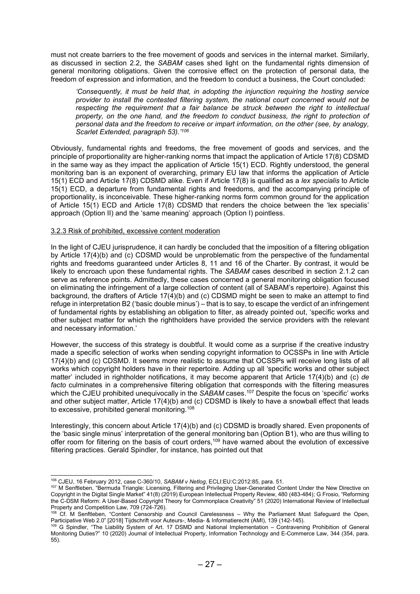must not create barriers to the free movement of goods and services in the internal market. Similarly, as discussed in section 2.2, the SABAM cases shed light on the fundamental rights dimension of general monitoring obligations. Given the corrosive effect on the protection of personal data, the freedom of expression and information, and the freedom to conduct a business, the Court concluded:

'Consequently, it must be held that, in adopting the injunction requiring the hosting service provider to install the contested filtering system, the national court concerned would not be respecting the requirement that a fair balance be struck between the right to intellectual property, on the one hand, and the freedom to conduct business, the right to protection of personal data and the freedom to receive or impart information, on the other (see, by analogy, Scarlet Extended, paragraph 53).<sup>'106</sup>

Obviously, fundamental rights and freedoms, the free movement of goods and services, and the principle of proportionality are higher-ranking norms that impact the application of Article 17(8) CDSMD in the same way as they impact the application of Article 15(1) ECD. Rightly understood, the general monitoring ban is an exponent of overarching, primary EU law that informs the application of Article 15(1) ECD and Article 17(8) CDSMD alike. Even if Article 17(8) is qualified as a lex specialis to Article 15(1) ECD, a departure from fundamental rights and freedoms, and the accompanying principle of proportionality, is inconceivable. These higher-ranking norms form common ground for the application of Article 15(1) ECD and Article 17(8) CDSMD that renders the choice between the 'lex specialis' approach (Option II) and the 'same meaning' approach (Option I) pointless.

## 3.2.3 Risk of prohibited, excessive content moderation

In the light of CJEU jurisprudence, it can hardly be concluded that the imposition of a filtering obligation by Article 17(4)(b) and (c) CDSMD would be unproblematic from the perspective of the fundamental rights and freedoms guaranteed under Articles 8, 11 and 16 of the Charter. By contrast, it would be likely to encroach upon these fundamental rights. The SABAM cases described in section 2.1.2 can serve as reference points. Admittedly, these cases concerned a general monitoring obligation focused on eliminating the infringement of a large collection of content (all of SABAM's repertoire). Against this background, the drafters of Article 17(4)(b) and (c) CDSMD might be seen to make an attempt to find refuge in interpretation B2 ('basic double minus') – that is to say, to escape the verdict of an infringement of fundamental rights by establishing an obligation to filter, as already pointed out, 'specific works and other subject matter for which the rightholders have provided the service providers with the relevant and necessary information.'

However, the success of this strategy is doubtful. It would come as a surprise if the creative industry made a specific selection of works when sending copyright information to OCSSPs in line with Article 17(4)(b) and (c) CDSMD. It seems more realistic to assume that OCSSPs will receive long lists of all works which copyright holders have in their repertoire. Adding up all 'specific works and other subject matter' included in rightholder notifications, it may become apparent that Article 17(4)(b) and (c) de facto culminates in a comprehensive filtering obligation that corresponds with the filtering measures which the CJEU prohibited unequivocally in the SABAM cases.<sup>107</sup> Despite the focus on 'specific' works and other subject matter, Article 17(4)(b) and (c) CDSMD is likely to have a snowball effect that leads to excessive, prohibited general monitoring.<sup>108</sup>

Interestingly, this concern about Article 17(4)(b) and (c) CDSMD is broadly shared. Even proponents of the 'basic single minus' interpretation of the general monitoring ban (Option B1), who are thus willing to offer room for filtering on the basis of court orders,<sup>109</sup> have warned about the evolution of excessive filtering practices. Gerald Spindler, for instance, has pointed out that

<sup>106</sup> CJEU, 16 February 2012, case C-360/10, SABAM v Netlog, ECLI:EU:C:2012:85, para. 51.

<sup>107</sup> M Senftleben, "Bermuda Triangle: Licensing, Filtering and Privileging User-Generated Content Under the New Directive on Copyright in the Digital Single Market" 41(8) (2019) European Intellectual Property Review, 480 (483-484); G Frosio, "Reforming the C-DSM Reform: A User-Based Copyright Theory for Commonplace Creativity" 51 (2020) International Review of Intellectual Property and Competition Law, 709 (724-726).

<sup>108</sup> Cf. M Senftleben, "Content Censorship and Council Carelessness – Why the Parliament Must Safeguard the Open, Participative Web 2.0" [2018] Tijdschrift voor Auteurs-, Media- & Informatierecht (AMI), 139 (142-145).

<sup>109</sup> G Spindler, "The Liability System of Art. 17 DSMD and National Implementation – Contravening Prohibition of General Monitoring Duties?" 10 (2020) Journal of Intellectual Property, Information Technology and E-Commerce Law, 344 (354, para. 55).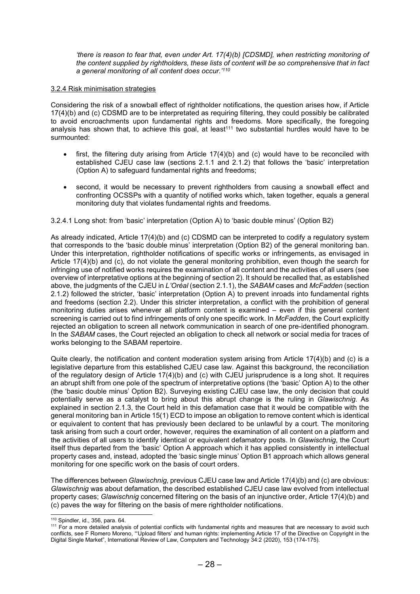'there is reason to fear that, even under Art. 17(4)(b) [CDSMD], when restricting monitoring of the content supplied by rightholders, these lists of content will be so comprehensive that in fact a general monitoring of all content does occur.'<sup>110</sup>

## 3.2.4 Risk minimisation strategies

Considering the risk of a snowball effect of rightholder notifications, the question arises how, if Article 17(4)(b) and (c) CDSMD are to be interpretated as requiring filtering, they could possibly be calibrated to avoid encroachments upon fundamental rights and freedoms. More specifically, the foregoing analysis has shown that, to achieve this goal, at least<sup>111</sup> two substantial hurdles would have to be surmounted:

- first, the filtering duty arising from Article 17(4)(b) and (c) would have to be reconciled with established CJEU case law (sections 2.1.1 and 2.1.2) that follows the 'basic' interpretation (Option A) to safeguard fundamental rights and freedoms;
- second, it would be necessary to prevent rightholders from causing a snowball effect and confronting OCSSPs with a quantity of notified works which, taken together, equals a general monitoring duty that violates fundamental rights and freedoms.

## 3.2.4.1 Long shot: from 'basic' interpretation (Option A) to 'basic double minus' (Option B2)

As already indicated, Article 17(4)(b) and (c) CDSMD can be interpreted to codify a regulatory system that corresponds to the 'basic double minus' interpretation (Option B2) of the general monitoring ban. Under this interpretation, rightholder notifications of specific works or infringements, as envisaged in Article 17(4)(b) and (c), do not violate the general monitoring prohibition, even though the search for infringing use of notified works requires the examination of all content and the activities of all users (see overview of interpretative options at the beginning of section 2). It should be recalled that, as established above, the judgments of the CJEU in L'Oréal (section 2.1.1), the SABAM cases and McFadden (section 2.1.2) followed the stricter, 'basic' interpretation (Option A) to prevent inroads into fundamental rights and freedoms (section 2.2). Under this stricter interpretation, a conflict with the prohibition of general monitoring duties arises whenever all platform content is examined – even if this general content screening is carried out to find infringements of only one specific work. In McFadden, the Court explicitly rejected an obligation to screen all network communication in search of one pre-identified phonogram. In the SABAM cases, the Court rejected an obligation to check all network or social media for traces of works belonging to the SABAM repertoire.

Quite clearly, the notification and content moderation system arising from Article 17(4)(b) and (c) is a legislative departure from this established CJEU case law. Against this background, the reconciliation of the regulatory design of Article 17(4)(b) and (c) with CJEU jurisprudence is a long shot. It requires an abrupt shift from one pole of the spectrum of interpretative options (the 'basic' Option A) to the other (the 'basic double minus' Option B2). Surveying existing CJEU case law, the only decision that could potentially serve as a catalyst to bring about this abrupt change is the ruling in Glawischnig. As explained in section 2.1.3, the Court held in this defamation case that it would be compatible with the general monitoring ban in Article 15(1) ECD to impose an obligation to remove content which is identical or equivalent to content that has previously been declared to be unlawful by a court. The monitoring task arising from such a court order, however, requires the examination of all content on a platform and the activities of all users to identify identical or equivalent defamatory posts. In Glawischnig, the Court itself thus departed from the 'basic' Option A approach which it has applied consistently in intellectual property cases and, instead, adopted the 'basic single minus' Option B1 approach which allows general monitoring for one specific work on the basis of court orders.

The differences between Glawischnig, previous CJEU case law and Article 17(4)(b) and (c) are obvious: Glawischnig was about defamation, the described established CJEU case law evolved from intellectual property cases; Glawischnig concerned filtering on the basis of an injunctive order, Article 17(4)(b) and (c) paves the way for filtering on the basis of mere rightholder notifications.

<sup>110</sup> Spindler, id., 356, para. 64.

<sup>&</sup>lt;sup>111</sup> For a more detailed analysis of potential conflicts with fundamental rights and measures that are necessary to avoid such conflicts, see F Romero Moreno, "'Upload filters' and human rights: implementing Article 17 of the Directive on Copyright in the Digital Single Market", International Review of Law, Computers and Technology 34:2 (2020), 153 (174-175).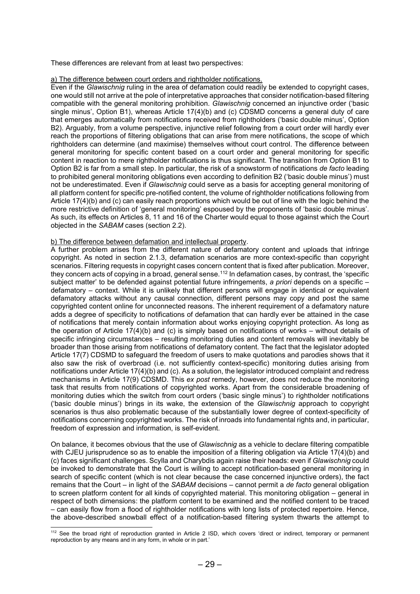These differences are relevant from at least two perspectives:

#### a) The difference between court orders and rightholder notifications.

Even if the Glawischnig ruling in the area of defamation could readily be extended to copyright cases, one would still not arrive at the pole of interpretative approaches that consider notification-based filtering compatible with the general monitoring prohibition. Glawischnig concerned an injunctive order ('basic single minus', Option B1), whereas Article 17(4)(b) and (c) CDSMD concerns a general duty of care that emerges automatically from notifications received from rightholders ('basic double minus', Option B2). Arguably, from a volume perspective, injunctive relief following from a court order will hardly ever reach the proportions of filtering obligations that can arise from mere notifications, the scope of which rightholders can determine (and maximise) themselves without court control. The difference between general monitoring for specific content based on a court order and general monitoring for specific content in reaction to mere rightholder notifications is thus significant. The transition from Option B1 to Option B2 is far from a small step. In particular, the risk of a snowstorm of notifications de facto leading to prohibited general monitoring obligations even according to definition B2 ('basic double minus') must not be underestimated. Even if Glawischnig could serve as a basis for accepting general monitoring of all platform content for specific pre-notified content, the volume of rightholder notifications following from Article 17(4)(b) and (c) can easily reach proportions which would be out of line with the logic behind the more restrictive definition of 'general monitoring' espoused by the proponents of 'basic double minus'. As such, its effects on Articles 8, 11 and 16 of the Charter would equal to those against which the Court objected in the SABAM cases (section 2.2).

#### b) The difference between defamation and intellectual property.

A further problem arises from the different nature of defamatory content and uploads that infringe copyright. As noted in section 2.1.3, defamation scenarios are more context-specific than copyright scenarios. Filtering requests in copyright cases concern content that is fixed after publication. Moreover, they concern acts of copying in a broad, general sense.<sup>112</sup> In defamation cases, by contrast, the 'specific subject matter' to be defended against potential future infringements, a priori depends on a specific – defamatory – context. While it is unlikely that different persons will engage in identical or equivalent defamatory attacks without any causal connection, different persons may copy and post the same copyrighted content online for unconnected reasons. The inherent requirement of a defamatory nature adds a degree of specificity to notifications of defamation that can hardly ever be attained in the case of notifications that merely contain information about works enjoying copyright protection. As long as the operation of Article 17(4)(b) and (c) is simply based on notifications of works – without details of specific infringing circumstances – resulting monitoring duties and content removals will inevitably be broader than those arising from notifications of defamatory content. The fact that the legislator adopted Article 17(7) CDSMD to safeguard the freedom of users to make quotations and parodies shows that it also saw the risk of overbroad (i.e. not sufficiently context-specific) monitoring duties arising from notifications under Article 17(4)(b) and (c). As a solution, the legislator introduced complaint and redress mechanisms in Article 17(9) CDSMD. This ex post remedy, however, does not reduce the monitoring task that results from notifications of copyrighted works. Apart from the considerable broadening of monitoring duties which the switch from court orders ('basic single minus') to rightholder notifications ('basic double minus') brings in its wake, the extension of the Glawischnig approach to copyright scenarios is thus also problematic because of the substantially lower degree of context-specificity of notifications concerning copyrighted works. The risk of inroads into fundamental rights and, in particular, freedom of expression and information, is self-evident.

On balance, it becomes obvious that the use of Glawischnig as a vehicle to declare filtering compatible with CJEU jurisprudence so as to enable the imposition of a filtering obligation via Article 17(4)(b) and (c) faces significant challenges. Scylla and Charybdis again raise their heads: even if Glawischnig could be invoked to demonstrate that the Court is willing to accept notification-based general monitoring in search of specific content (which is not clear because the case concerned injunctive orders), the fact remains that the Court – in light of the *SABAM* decisions – cannot permit a *de facto* general obligation to screen platform content for all kinds of copyrighted material. This monitoring obligation – general in respect of both dimensions: the platform content to be examined and the notified content to be traced – can easily flow from a flood of rightholder notifications with long lists of protected repertoire. Hence, the above-described snowball effect of a notification-based filtering system thwarts the attempt to

<sup>112</sup> See the broad right of reproduction granted in Article 2 ISD, which covers 'direct or indirect, temporary or permanent reproduction by any means and in any form, in whole or in part.'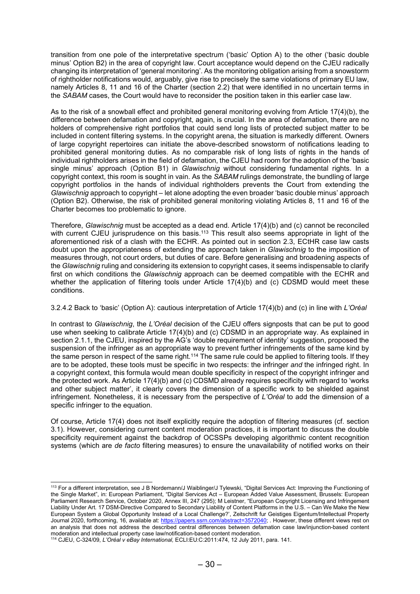transition from one pole of the interpretative spectrum ('basic' Option A) to the other ('basic double minus' Option B2) in the area of copyright law. Court acceptance would depend on the CJEU radically changing its interpretation of 'general monitoring'. As the monitoring obligation arising from a snowstorm of rightholder notifications would, arguably, give rise to precisely the same violations of primary EU law, namely Articles 8, 11 and 16 of the Charter (section 2.2) that were identified in no uncertain terms in the SABAM cases, the Court would have to reconsider the position taken in this earlier case law.

As to the risk of a snowball effect and prohibited general monitoring evolving from Article 17(4)(b), the difference between defamation and copyright, again, is crucial. In the area of defamation, there are no holders of comprehensive right portfolios that could send long lists of protected subject matter to be included in content filtering systems. In the copyright arena, the situation is markedly different. Owners of large copyright repertoires can initiate the above-described snowstorm of notifications leading to prohibited general monitoring duties. As no comparable risk of long lists of rights in the hands of individual rightholders arises in the field of defamation, the CJEU had room for the adoption of the 'basic single minus' approach (Option B1) in *Glawischnig* without considering fundamental rights. In a copyright context, this room is sought in vain. As the SABAM rulings demonstrate, the bundling of large copyright portfolios in the hands of individual rightholders prevents the Court from extending the Glawischnig approach to copyright – let alone adopting the even broader 'basic double minus' approach (Option B2). Otherwise, the risk of prohibited general monitoring violating Articles 8, 11 and 16 of the Charter becomes too problematic to ignore.

Therefore, Glawischnig must be accepted as a dead end. Article 17(4)(b) and (c) cannot be reconciled with current CJEU jurisprudence on this basis.<sup>113</sup> This result also seems appropriate in light of the aforementioned risk of a clash with the ECHR. As pointed out in section 2.3, ECtHR case law casts doubt upon the appropriateness of extending the approach taken in *Glawischnig* to the imposition of measures through, not court orders, but duties of care. Before generalising and broadening aspects of the Glawischnig ruling and considering its extension to copyright cases, it seems indispensable to clarify first on which conditions the Glawischnig approach can be deemed compatible with the ECHR and whether the application of filtering tools under Article 17(4)(b) and (c) CDSMD would meet these conditions.

## 3.2.4.2 Back to 'basic' (Option A): cautious interpretation of Article 17(4)(b) and (c) in line with L'Oréal

In contrast to Glawischnig, the L'Oréal decision of the CJEU offers signposts that can be put to good use when seeking to calibrate Article 17(4)(b) and (c) CDSMD in an appropriate way. As explained in section 2.1.1, the CJEU, inspired by the AG's 'double requirement of identity' suggestion, proposed the suspension of the infringer as an appropriate way to prevent further infringements of the same kind by the same person in respect of the same right.<sup>114</sup> The same rule could be applied to filtering tools. If they are to be adopted, these tools must be specific in two respects: the infringer and the infringed right. In a copyright context, this formula would mean double specificity in respect of the copyright infringer and the protected work. As Article 17(4)(b) and (c) CDSMD already requires specificity with regard to 'works and other subject matter', it clearly covers the dimension of a specific work to be shielded against infringement. Nonetheless, it is necessary from the perspective of L'Oréal to add the dimension of a specific infringer to the equation.

Of course, Article 17(4) does not itself explicitly require the adoption of filtering measures (cf. section 3.1). However, considering current content moderation practices, it is important to discuss the double specificity requirement against the backdrop of OCSSPs developing algorithmic content recognition systems (which are de facto filtering measures) to ensure the unavailability of notified works on their

<sup>113</sup> For a different interpretation, see J B Nordemann/J Waiblinger/J Tylewski, "Digital Services Act: Improving the Functioning of the Single Market", in: European Parliament, "Digital Services Act – European Added Value Assessment, Brussels: European Parliament Research Service, October 2020, Annex III, 247 (295); M Leistner, "European Copyright Licensing and Infringement Liability Under Art. 17 DSM-Directive Compared to Secondary Liability of Content Platforms in the U.S. – Can We Make the New European System a Global Opportunity Instead of a Local Challenge?', Zeitschrift fur Geistiges Eigentum/Intellectual Property Journal 2020, forthcoming, 16, available at: https://papers.ssrn.com/abstract=3572040; . However, these different views rest on an analysis that does not address the described central differences between defamation case law/injunction-based content moderation and intellectual property case law/notification-based content moderation.

<sup>114</sup> CJEU, C-324/09, L'Oréal v eBay International, ECLI:EU:C:2011:474, 12 July 2011, para. 141.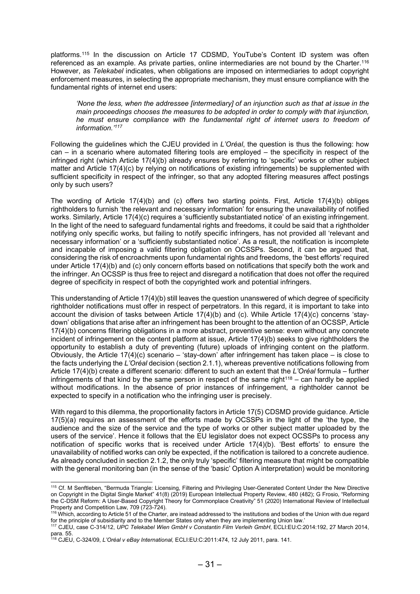platforms.<sup>115</sup> In the discussion on Article 17 CDSMD, YouTube's Content ID system was often referenced as an example. As private parties, online intermediaries are not bound by the Charter.<sup>116</sup> However, as Telekabel indicates, when obligations are imposed on intermediaries to adopt copyright enforcement measures, in selecting the appropriate mechanism, they must ensure compliance with the fundamental rights of internet end users:

'None the less, when the addressee [intermediary] of an injunction such as that at issue in the main proceedings chooses the measures to be adopted in order to comply with that injunction, he must ensure compliance with the fundamental right of internet users to freedom of information.'<sup>117</sup>

Following the guidelines which the CJEU provided in L'Oréal, the question is thus the following: how can – in a scenario where automated filtering tools are employed – the specificity in respect of the infringed right (which Article 17(4)(b) already ensures by referring to 'specific' works or other subject matter and Article 17(4)(c) by relying on notifications of existing infringements) be supplemented with sufficient specificity in respect of the infringer, so that any adopted filtering measures affect postings only by such users?

The wording of Article 17(4)(b) and (c) offers two starting points. First, Article 17(4)(b) obliges rightholders to furnish 'the relevant and necessary information' for ensuring the unavailability of notified works. Similarly, Article 17(4)(c) requires a 'sufficiently substantiated notice' of an existing infringement. In the light of the need to safeguard fundamental rights and freedoms, it could be said that a rightholder notifying only specific works, but failing to notify specific infringers, has not provided all 'relevant and necessary information' or a 'sufficiently substantiated notice'. As a result, the notification is incomplete and incapable of imposing a valid filtering obligation on OCSSPs. Second, it can be argued that, considering the risk of encroachments upon fundamental rights and freedoms, the 'best efforts' required under Article 17(4)(b) and (c) only concern efforts based on notifications that specify both the work and the infringer. An OCSSP is thus free to reject and disregard a notification that does not offer the required degree of specificity in respect of both the copyrighted work and potential infringers.

This understanding of Article 17(4)(b) still leaves the question unanswered of which degree of specificity rightholder notifications must offer in respect of perpetrators. In this regard, it is important to take into account the division of tasks between Article 17(4)(b) and (c). While Article 17(4)(c) concerns 'staydown' obligations that arise after an infringement has been brought to the attention of an OCSSP, Article 17(4)(b) concerns filtering obligations in a more abstract, preventive sense: even without any concrete incident of infringement on the content platform at issue, Article 17(4)(b) seeks to give rightholders the opportunity to establish a duty of preventing (future) uploads of infringing content on the platform. Obviously, the Article 17(4)(c) scenario – 'stay-down' after infringement has taken place – is close to the facts underlying the L'Oréal decision (section 2.1.1), whereas preventive notifications following from Article 17(4)(b) create a different scenario: different to such an extent that the L'Oréal formula – further infringements of that kind by the same person in respect of the same right<sup>118</sup> – can hardly be applied without modifications. In the absence of prior instances of infringement, a rightholder cannot be expected to specify in a notification who the infringing user is precisely.

With regard to this dilemma, the proportionality factors in Article 17(5) CDSMD provide guidance. Article 17(5)(a) requires an assessment of the efforts made by OCSSPs in the light of the 'the type, the audience and the size of the service and the type of works or other subject matter uploaded by the users of the service'. Hence it follows that the EU legislator does not expect OCSSPs to process any notification of specific works that is received under Article 17(4)(b). 'Best efforts' to ensure the unavailability of notified works can only be expected, if the notification is tailored to a concrete audience. As already concluded in section 2.1.2, the only truly 'specific' filtering measure that might be compatible with the general monitoring ban (in the sense of the 'basic' Option A interpretation) would be monitoring

<sup>115</sup> Cf. M Senftleben, "Bermuda Triangle: Licensing, Filtering and Privileging User-Generated Content Under the New Directive on Copyright in the Digital Single Market" 41(8) (2019) European Intellectual Property Review, 480 (482); G Frosio, "Reforming the C-DSM Reform: A User-Based Copyright Theory for Commonplace Creativity" 51 (2020) International Review of Intellectual Property and Competition Law, 709 (723-724).

<sup>116</sup> Which, according to Article 51 of the Charter, are instead addressed to 'the institutions and bodies of the Union with due regard for the principle of subsidiarity and to the Member States only when they are implementing Union law.'

<sup>117</sup> CJEU, case C-314/12, UPC Telekabel Wien GmbH v Constantin Film Verleih GmbH, ECLI:EU:C:2014:192, 27 March 2014, para. 55.

<sup>118</sup> CJEU, C-324/09, L'Oréal v eBay International, ECLI:EU:C:2011:474, 12 July 2011, para. 141.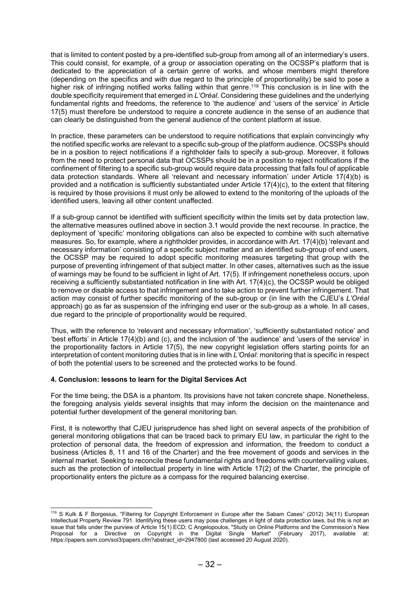that is limited to content posted by a pre-identified sub-group from among all of an intermediary's users. This could consist, for example, of a group or association operating on the OCSSP's platform that is dedicated to the appreciation of a certain genre of works, and whose members might therefore (depending on the specifics and with due regard to the principle of proportionality) be said to pose a higher risk of infringing notified works falling within that genre.<sup>119</sup> This conclusion is in line with the double specificity requirement that emerged in L'Oréal. Considering these guidelines and the underlying fundamental rights and freedoms, the reference to 'the audience' and 'users of the service' in Article 17(5) must therefore be understood to require a concrete audience in the sense of an audience that can clearly be distinguished from the general audience of the content platform at issue.

In practice, these parameters can be understood to require notifications that explain convincingly why the notified specific works are relevant to a specific sub-group of the platform audience. OCSSPs should be in a position to reject notifications if a rightholder fails to specify a sub-group. Moreover, it follows from the need to protect personal data that OCSSPs should be in a position to reject notifications if the confinement of filtering to a specific sub-group would require data processing that falls foul of applicable data protection standards. Where all 'relevant and necessary information' under Article 17(4)(b) is provided and a notification is sufficiently substantiated under Article 17(4)(c), to the extent that filtering is required by those provisions it must only be allowed to extend to the monitoring of the uploads of the identified users, leaving all other content unaffected.

If a sub-group cannot be identified with sufficient specificity within the limits set by data protection law, the alternative measures outlined above in section 3.1 would provide the next recourse. In practice, the deployment of 'specific' monitoring obligations can also be expected to combine with such alternative measures. So, for example, where a rightholder provides, in accordance with Art. 17(4)(b) 'relevant and necessary information' consisting of a specific subject matter and an identified sub-group of end users, the OCSSP may be required to adopt specific monitoring measures targeting that group with the purpose of preventing infringement of that subject matter. In other cases, alternatives such as the issue of warnings may be found to be sufficient in light of Art. 17(5). If infringement nonetheless occurs, upon receiving a sufficiently substantiated notification in line with Art. 17(4)(c), the OCSSP would be obliged to remove or disable access to that infringement and to take action to prevent further infringement. That action may consist of further specific monitoring of the sub-group or (in line with the CJEU's L'Oréal approach) go as far as suspension of the infringing end user or the sub-group as a whole. In all cases, due regard to the principle of proportionality would be required.

Thus, with the reference to 'relevant and necessary information', 'sufficiently substantiated notice' and 'best efforts' in Article 17(4)(b) and (c), and the inclusion of 'the audience' and 'users of the service' in the proportionality factors in Article 17(5), the new copyright legislation offers starting points for an interpretation of content monitoring duties that is in line with L'Oréal: monitoring that is specific in respect of both the potential users to be screened and the protected works to be found.

## 4. Conclusion: lessons to learn for the Digital Services Act

For the time being, the DSA is a phantom. Its provisions have not taken concrete shape. Nonetheless, the foregoing analysis yields several insights that may inform the decision on the maintenance and potential further development of the general monitoring ban.

First, it is noteworthy that CJEU jurisprudence has shed light on several aspects of the prohibition of general monitoring obligations that can be traced back to primary EU law, in particular the right to the protection of personal data, the freedom of expression and information, the freedom to conduct a business (Articles 8, 11 and 16 of the Charter) and the free movement of goods and services in the internal market. Seeking to reconcile these fundamental rights and freedoms with countervailing values, such as the protection of intellectual property in line with Article 17(2) of the Charter, the principle of proportionality enters the picture as a compass for the required balancing exercise.

<sup>119</sup> S Kulk & F Borgesius, "Filtering for Copyright Enforcement in Europe after the Sabam Cases" (2012) 34(11) European Intellectual Property Review 791. Identifying these users may pose challenges in light of data protection laws, but this is not an issue that falls under the purview of Article 15(1) ECD; C Angelopoulos, "Study on Online Platforms and the Commission's New Proposal for a Directive on Copyright in the Digital Single Market" (February 2017), available at: https://papers.ssrn.com/sol3/papers.cfm?abstract\_id=2947800 (last accessed 20 August 2020).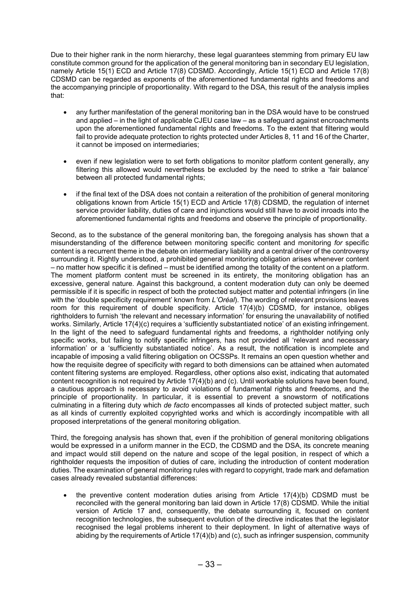Due to their higher rank in the norm hierarchy, these legal guarantees stemming from primary EU law constitute common ground for the application of the general monitoring ban in secondary EU legislation, namely Article 15(1) ECD and Article 17(8) CDSMD. Accordingly, Article 15(1) ECD and Article 17(8) CDSMD can be regarded as exponents of the aforementioned fundamental rights and freedoms and the accompanying principle of proportionality. With regard to the DSA, this result of the analysis implies that:

- any further manifestation of the general monitoring ban in the DSA would have to be construed and applied – in the light of applicable CJEU case law – as a safeguard against encroachments upon the aforementioned fundamental rights and freedoms. To the extent that filtering would fail to provide adequate protection to rights protected under Articles 8, 11 and 16 of the Charter, it cannot be imposed on intermediaries;
- even if new legislation were to set forth obligations to monitor platform content generally, any filtering this allowed would nevertheless be excluded by the need to strike a 'fair balance' between all protected fundamental rights;
- if the final text of the DSA does not contain a reiteration of the prohibition of general monitoring obligations known from Article 15(1) ECD and Article 17(8) CDSMD, the regulation of internet service provider liability, duties of care and injunctions would still have to avoid inroads into the aforementioned fundamental rights and freedoms and observe the principle of proportionality.

Second, as to the substance of the general monitoring ban, the foregoing analysis has shown that a misunderstanding of the difference between monitoring specific content and monitoring for specific content is a recurrent theme in the debate on intermediary liability and a central driver of the controversy surrounding it. Rightly understood, a prohibited general monitoring obligation arises whenever content – no matter how specific it is defined – must be identified among the totality of the content on a platform. The moment platform content must be screened in its entirety, the monitoring obligation has an excessive, general nature. Against this background, a content moderation duty can only be deemed permissible if it is specific in respect of both the protected subject matter and potential infringers (in line with the 'double specificity requirement' known from L'Oréal). The wording of relevant provisions leaves room for this requirement of double specificity. Article 17(4)(b) CDSMD, for instance, obliges rightholders to furnish 'the relevant and necessary information' for ensuring the unavailability of notified works. Similarly, Article 17(4)(c) requires a 'sufficiently substantiated notice' of an existing infringement. In the light of the need to safeguard fundamental rights and freedoms, a rightholder notifying only specific works, but failing to notify specific infringers, has not provided all 'relevant and necessary information' or a 'sufficiently substantiated notice'. As a result, the notification is incomplete and incapable of imposing a valid filtering obligation on OCSSPs. It remains an open question whether and how the requisite degree of specificity with regard to both dimensions can be attained when automated content filtering systems are employed. Regardless, other options also exist, indicating that automated content recognition is not required by Article 17(4)(b) and (c). Until workable solutions have been found, a cautious approach is necessary to avoid violations of fundamental rights and freedoms, and the principle of proportionality. In particular, it is essential to prevent a snowstorm of notifications culminating in a filtering duty which de facto encompasses all kinds of protected subject matter, such as all kinds of currently exploited copyrighted works and which is accordingly incompatible with all proposed interpretations of the general monitoring obligation.

Third, the foregoing analysis has shown that, even if the prohibition of general monitoring obligations would be expressed in a uniform manner in the ECD, the CDSMD and the DSA, its concrete meaning and impact would still depend on the nature and scope of the legal position, in respect of which a rightholder requests the imposition of duties of care, including the introduction of content moderation duties. The examination of general monitoring rules with regard to copyright, trade mark and defamation cases already revealed substantial differences:

 the preventive content moderation duties arising from Article 17(4)(b) CDSMD must be reconciled with the general monitoring ban laid down in Article 17(8) CDSMD. While the initial version of Article 17 and, consequently, the debate surrounding it, focused on content recognition technologies, the subsequent evolution of the directive indicates that the legislator recognised the legal problems inherent to their deployment. In light of alternative ways of abiding by the requirements of Article 17(4)(b) and (c), such as infringer suspension, community